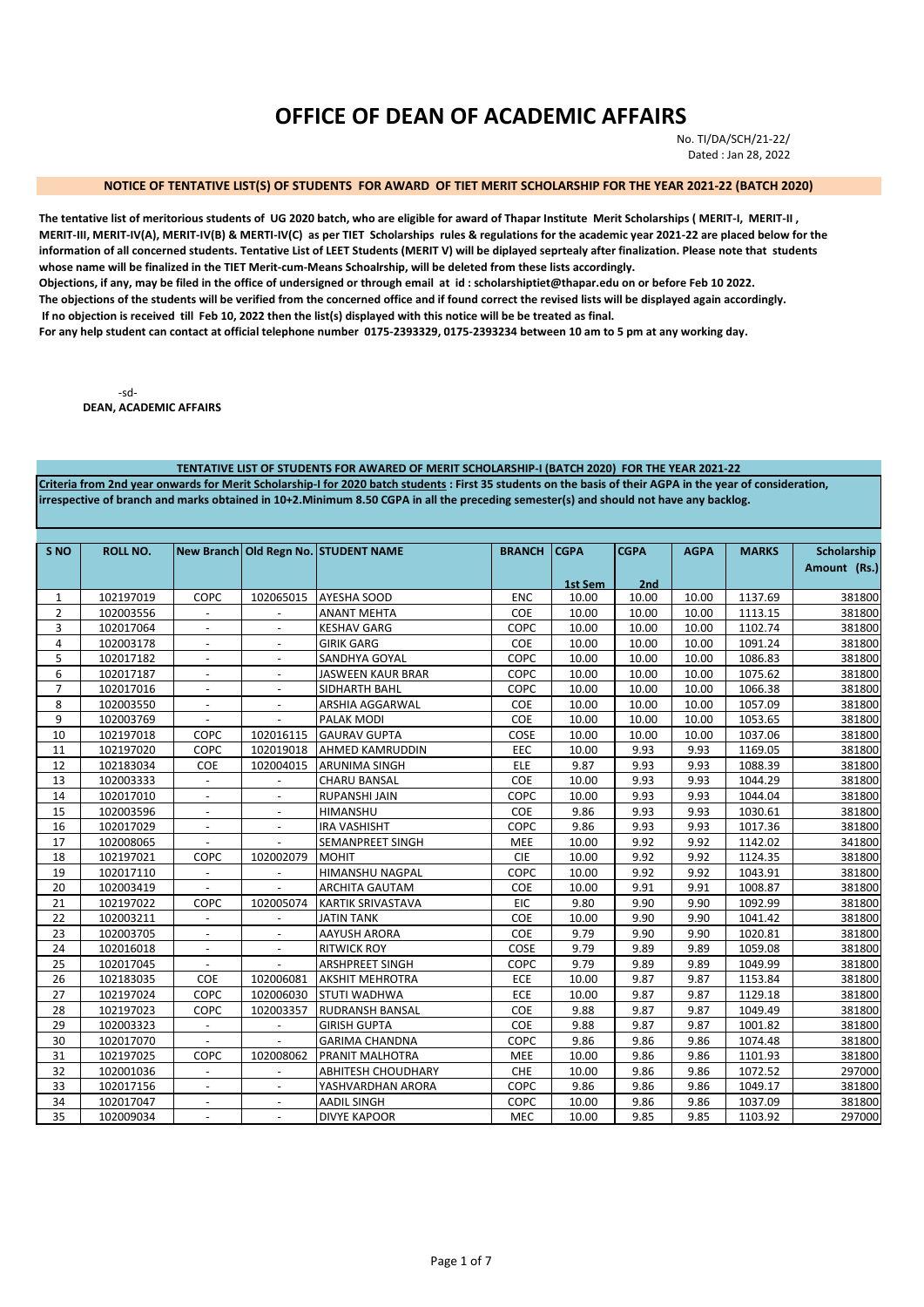# **OFFICE OF DEAN OF ACADEMIC AFFAIRS**

No. TI/DA/SCH/21-22/ Dated : Jan 28, 2022

## **NOTICE OF TENTATIVE LIST(S) OF STUDENTS FOR AWARD OF TIET MERIT SCHOLARSHIP FOR THE YEAR 2021-22 (BATCH 2020)**

**The tentative list of meritorious students of UG 2020 batch, who are eligible for award of Thapar Institute Merit Scholarships ( MERIT-I, MERIT-II , MERIT-III, MERIT-IV(A), MERIT-IV(B) & MERTI-IV(C) as per TIET Scholarships rules & regulations for the academic year 2021-22 are placed below for the information of all concerned students. Tentative List of LEET Students (MERIT V) will be diplayed seprtealy after finalization. Please note that students whose name will be finalized in the TIET Merit-cum-Means Schoalrship, will be deleted from these lists accordingly. Objections, if any, may be filed in the office of undersigned or through email at id : scholarshiptiet@thapar.edu on or before Feb 10 2022. The objections of the students will be verified from the concerned office and if found correct the revised lists will be displayed again accordingly. If no objection is received till Feb 10, 2022 then the list(s) displayed with this notice will be be treated as final. For any help student can contact at official telephone number 0175-2393329, 0175-2393234 between 10 am to 5 pm at any working day.** 

-sd-**DEAN, ACADEMIC AFFAIRS**

**TENTATIVE LIST OF STUDENTS FOR AWARED OF MERIT SCHOLARSHIP-I (BATCH 2020) FOR THE YEAR 2021-22 Criteria from 2nd year onwards for Merit Scholarship-I for 2020 batch students : First 35 students on the basis of their AGPA in the year of consideration, irrespective of branch and marks obtained in 10+2.Minimum 8.50 CGPA in all the preceding semester(s) and should not have any backlog.**

| S <sub>NO</sub> | <b>ROLL NO.</b> |                          |                          | New Branch Old Regn No. STUDENT NAME | <b>BRANCH</b>   | <b>CGPA</b> | <b>CGPA</b>     | <b>AGPA</b> | <b>MARKS</b> | Scholarship  |
|-----------------|-----------------|--------------------------|--------------------------|--------------------------------------|-----------------|-------------|-----------------|-------------|--------------|--------------|
|                 |                 |                          |                          |                                      |                 | 1st Sem     | 2 <sub>nd</sub> |             |              | Amount (Rs.) |
| 1               | 102197019       | COPC                     | 102065015                | AYESHA SOOD                          | <b>ENC</b>      | 10.00       | 10.00           | 10.00       | 1137.69      | 381800       |
| $\overline{2}$  | 102003556       | $\blacksquare$           |                          | <b>ANANT MEHTA</b>                   | COE             | 10.00       | 10.00           | 10.00       | 1113.15      | 381800       |
| 3               | 102017064       | $\overline{\phantom{a}}$ |                          | <b>KESHAV GARG</b>                   | COPC            | 10.00       | 10.00           | 10.00       | 1102.74      | 381800       |
| 4               | 102003178       | $\sim$                   | $\overline{a}$           | <b>GIRIK GARG</b>                    | COE             | 10.00       | 10.00           | 10.00       | 1091.24      | 381800       |
| 5               | 102017182       | $\sim$                   | $\overline{\phantom{a}}$ | SANDHYA GOYAL                        | COPC            | 10.00       | 10.00           | 10.00       | 1086.83      | 381800       |
| 6               | 102017187       | $\blacksquare$           |                          | <b>JASWEEN KAUR BRAR</b>             | COPC            | 10.00       | 10.00           | 10.00       | 1075.62      | 381800       |
| $\overline{7}$  | 102017016       | $\blacksquare$           |                          | SIDHARTH BAHL                        | COPC            | 10.00       | 10.00           | 10.00       | 1066.38      | 381800       |
| 8               | 102003550       | $\blacksquare$           | $\overline{a}$           | ARSHIA AGGARWAL                      | COE             | 10.00       | 10.00           | 10.00       | 1057.09      | 381800       |
| 9               | 102003769       | $\blacksquare$           |                          | PALAK MODI                           | COE             | 10.00       | 10.00           | 10.00       | 1053.65      | 381800       |
| 10              | 102197018       | COPC                     | 102016115                | <b>GAURAV GUPTA</b>                  | COSE            | 10.00       | 10.00           | 10.00       | 1037.06      | 381800       |
| 11              | 102197020       | COPC                     | 102019018                | <b>AHMED KAMRUDDIN</b>               | EEC             | 10.00       | 9.93            | 9.93        | 1169.05      | 381800       |
| 12              | 102183034       | COE                      | 102004015                | <b>ARUNIMA SINGH</b>                 | ELE             | 9.87        | 9.93            | 9.93        | 1088.39      | 381800       |
| 13              | 102003333       | $\overline{\phantom{a}}$ |                          | <b>CHARU BANSAL</b>                  | COE             | 10.00       | 9.93            | 9.93        | 1044.29      | 381800       |
| 14              | 102017010       | $\overline{\phantom{a}}$ | $\overline{\phantom{a}}$ | RUPANSHI JAIN                        | COPC            | 10.00       | 9.93            | 9.93        | 1044.04      | 381800       |
| 15              | 102003596       | $\blacksquare$           | $\blacksquare$           | HIMANSHU                             | COE             | 9.86        | 9.93            | 9.93        | 1030.61      | 381800       |
| 16              | 102017029       |                          |                          | <b>IRA VASHISHT</b>                  | COPC            | 9.86        | 9.93            | 9.93        | 1017.36      | 381800       |
| 17              | 102008065       | $\overline{a}$           |                          | SEMANPREET SINGH                     | MEE             | 10.00       | 9.92            | 9.92        | 1142.02      | 341800       |
| 18              | 102197021       | COPC                     | 102002079                | <b>MOHIT</b>                         | <b>CIE</b>      | 10.00       | 9.92            | 9.92        | 1124.35      | 381800       |
| 19              | 102017110       | $\blacksquare$           |                          | HIMANSHU NAGPAL                      | COPC            | 10.00       | 9.92            | 9.92        | 1043.91      | 381800       |
| 20              | 102003419       | $\overline{a}$           |                          | <b>ARCHITA GAUTAM</b>                | COE             | 10.00       | 9.91            | 9.91        | 1008.87      | 381800       |
| 21              | 102197022       | COPC                     | 102005074                | <b>KARTIK SRIVASTAVA</b>             | <b>EIC</b>      | 9.80        | 9.90            | 9.90        | 1092.99      | 381800       |
| 22              | 102003211       | $\blacksquare$           |                          | <b>JATIN TANK</b>                    | COE             | 10.00       | 9.90            | 9.90        | 1041.42      | 381800       |
| 23              | 102003705       | $\blacksquare$           |                          | AAYUSH ARORA                         | CO <sub>E</sub> | 9.79        | 9.90            | 9.90        | 1020.81      | 381800       |
| 24              | 102016018       | $\blacksquare$           | $\overline{a}$           | <b>RITWICK ROY</b>                   | COSE            | 9.79        | 9.89            | 9.89        | 1059.08      | 381800       |
| 25              | 102017045       | $\blacksquare$           |                          | <b>ARSHPREET SINGH</b>               | COPC            | 9.79        | 9.89            | 9.89        | 1049.99      | 381800       |
| 26              | 102183035       | COE                      | 102006081                | <b>AKSHIT MEHROTRA</b>               | ECE             | 10.00       | 9.87            | 9.87        | 1153.84      | 381800       |
| 27              | 102197024       | COPC                     | 102006030                | <b>STUTI WADHWA</b>                  | ECE             | 10.00       | 9.87            | 9.87        | 1129.18      | 381800       |
| 28              | 102197023       | COPC                     | 102003357                | RUDRANSH BANSAL                      | COE             | 9.88        | 9.87            | 9.87        | 1049.49      | 381800       |
| 29              | 102003323       | $\overline{\phantom{a}}$ | $\overline{\phantom{a}}$ | <b>GIRISH GUPTA</b>                  | COE             | 9.88        | 9.87            | 9.87        | 1001.82      | 381800       |
| 30              | 102017070       | $\overline{\phantom{a}}$ |                          | <b>GARIMA CHANDNA</b>                | COPC            | 9.86        | 9.86            | 9.86        | 1074.48      | 381800       |
| 31              | 102197025       | COPC                     | 102008062                | PRANIT MALHOTRA                      | <b>MEE</b>      | 10.00       | 9.86            | 9.86        | 1101.93      | 381800       |
| 32              | 102001036       | $\overline{a}$           |                          | <b>ABHITESH CHOUDHARY</b>            | CHE             | 10.00       | 9.86            | 9.86        | 1072.52      | 297000       |
| 33              | 102017156       | $\overline{a}$           | $\overline{a}$           | YASHVARDHAN ARORA                    | COPC            | 9.86        | 9.86            | 9.86        | 1049.17      | 381800       |
| 34              | 102017047       | ÷,                       |                          | <b>AADIL SINGH</b>                   | COPC            | 10.00       | 9.86            | 9.86        | 1037.09      | 381800       |
| 35              | 102009034       | $\overline{a}$           |                          | <b>DIVYE KAPOOR</b>                  | <b>MEC</b>      | 10.00       | 9.85            | 9.85        | 1103.92      | 297000       |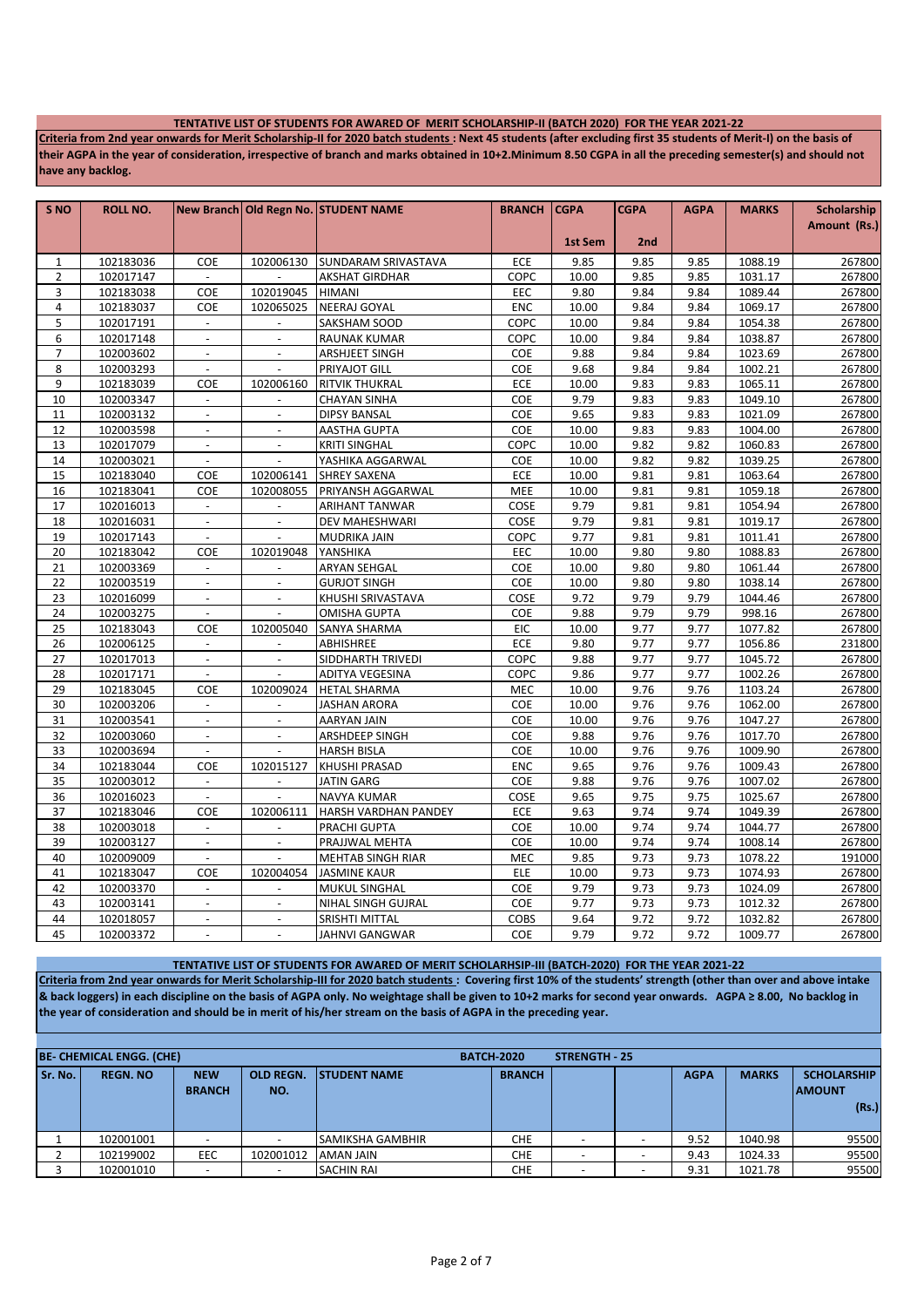#### **TENTATIVE LIST OF STUDENTS FOR AWARED OF MERIT SCHOLARSHIP-II (BATCH 2020) FOR THE YEAR 2021-22**

**Criteria from 2nd year onwards for Merit Scholarship-II for 2020 batch students : Next 45 students (after excluding first 35 students of Merit-I) on the basis of their AGPA in the year of consideration, irrespective of branch and marks obtained in 10+2.Minimum 8.50 CGPA in all the preceding semester(s) and should not have any backlog.**

| S <sub>NO</sub> | <b>ROLL NO.</b> |                          |                          | New Branch   Old Regn No.   STUDENT NAME | <b>BRANCH</b> | <b>CGPA</b> | <b>CGPA</b>     | <b>AGPA</b> | <b>MARKS</b> | Scholarship  |
|-----------------|-----------------|--------------------------|--------------------------|------------------------------------------|---------------|-------------|-----------------|-------------|--------------|--------------|
|                 |                 |                          |                          |                                          |               |             |                 |             |              | Amount (Rs.) |
|                 |                 |                          |                          |                                          |               | 1st Sem     | 2 <sub>nd</sub> |             |              |              |
| $\mathbf 1$     | 102183036       | COE                      | 102006130                | SUNDARAM SRIVASTAVA                      | ECE           | 9.85        | 9.85            | 9.85        | 1088.19      | 267800       |
| $\overline{2}$  | 102017147       | $\Box$                   |                          | <b>AKSHAT GIRDHAR</b>                    | COPC          | 10.00       | 9.85            | 9.85        | 1031.17      | 267800       |
| 3               | 102183038       | COE                      | 102019045                | <b>HIMANI</b>                            | EEC           | 9.80        | 9.84            | 9.84        | 1089.44      | 267800       |
| $\overline{4}$  | 102183037       | <b>COE</b>               | 102065025                | NEERAJ GOYAL                             | <b>ENC</b>    | 10.00       | 9.84            | 9.84        | 1069.17      | 267800       |
| 5               | 102017191       | $\sim$                   |                          | SAKSHAM SOOD                             | COPC          | 10.00       | 9.84            | 9.84        | 1054.38      | 267800       |
| 6               | 102017148       | $\omega$                 | $\blacksquare$           | RAUNAK KUMAR                             | COPC          | 10.00       | 9.84            | 9.84        | 1038.87      | 267800       |
| $\overline{7}$  | 102003602       | $\overline{\phantom{a}}$ | $\overline{\phantom{a}}$ | ARSHJEET SINGH                           | COE           | 9.88        | 9.84            | 9.84        | 1023.69      | 267800       |
| 8               | 102003293       | $\mathcal{L}$            | $\overline{\phantom{a}}$ | PRIYAJOT GILL                            | COE           | 9.68        | 9.84            | 9.84        | 1002.21      | 267800       |
| 9               | 102183039       | <b>COE</b>               | 102006160                | <b>RITVIK THUKRAL</b>                    | ECE           | 10.00       | 9.83            | 9.83        | 1065.11      | 267800       |
| 10              | 102003347       | $\blacksquare$           | $\overline{\phantom{a}}$ | <b>CHAYAN SINHA</b>                      | COE           | 9.79        | 9.83            | 9.83        | 1049.10      | 267800       |
| 11              | 102003132       | $\overline{\phantom{a}}$ | $\overline{\phantom{a}}$ | <b>DIPSY BANSAL</b>                      | COE           | 9.65        | 9.83            | 9.83        | 1021.09      | 267800       |
| 12              | 102003598       | $\mathbf{r}$             | $\overline{a}$           | AASTHA GUPTA                             | COE           | 10.00       | 9.83            | 9.83        | 1004.00      | 267800       |
| 13              | 102017079       | $\sim$                   | $\overline{\phantom{a}}$ | <b>KRITI SINGHAL</b>                     | COPC          | 10.00       | 9.82            | 9.82        | 1060.83      | 267800       |
| 14              | 102003021       | $\mathbf{r}$             |                          | YASHIKA AGGARWAL                         | COE           | 10.00       | 9.82            | 9.82        | 1039.25      | 267800       |
| 15              | 102183040       | COE                      | 102006141                | <b>SHREY SAXENA</b>                      | ECE           | 10.00       | 9.81            | 9.81        | 1063.64      | 267800       |
| 16              | 102183041       | <b>COE</b>               | 102008055                | PRIYANSH AGGARWAL                        | MEE           | 10.00       | 9.81            | 9.81        | 1059.18      | 267800       |
| 17              | 102016013       | $\blacksquare$           |                          | <b>ARIHANT TANWAR</b>                    | COSE          | 9.79        | 9.81            | 9.81        | 1054.94      | 267800       |
| 18              | 102016031       | $\overline{\phantom{a}}$ |                          | <b>DEV MAHESHWARI</b>                    | COSE          | 9.79        | 9.81            | 9.81        | 1019.17      | 267800       |
| 19              | 102017143       | $\overline{\phantom{a}}$ | $\overline{\phantom{a}}$ | MUDRIKA JAIN                             | COPC          | 9.77        | 9.81            | 9.81        | 1011.41      | 267800       |
| 20              | 102183042       | COE                      | 102019048                | YANSHIKA                                 | EEC           | 10.00       | 9.80            | 9.80        | 1088.83      | 267800       |
| 21              | 102003369       | $\blacksquare$           | $\blacksquare$           | ARYAN SEHGAL                             | COE           | 10.00       | 9.80            | 9.80        | 1061.44      | 267800       |
| 22              | 102003519       | $\overline{\phantom{a}}$ | $\blacksquare$           | <b>GURJOT SINGH</b>                      | COE           | 10.00       | 9.80            | 9.80        | 1038.14      | 267800       |
| 23              | 102016099       | $\overline{\phantom{a}}$ | $\overline{\phantom{a}}$ | KHUSHI SRIVASTAVA                        | COSE          | 9.72        | 9.79            | 9.79        | 1044.46      | 267800       |
| 24              | 102003275       | $\overline{\phantom{a}}$ | $\overline{\phantom{a}}$ | OMISHA GUPTA                             | COE           | 9.88        | 9.79            | 9.79        | 998.16       | 267800       |
| 25              | 102183043       | COE                      | 102005040                | SANYA SHARMA                             | <b>EIC</b>    | 10.00       | 9.77            | 9.77        | 1077.82      | 267800       |
| 26              | 102006125       | $\sim$                   | $\overline{a}$           | ABHISHREE                                | ECE           | 9.80        | 9.77            | 9.77        | 1056.86      | 231800       |
| 27              | 102017013       | $\mathbb{L}$             | $\overline{\phantom{a}}$ | SIDDHARTH_TRIVEDI                        | COPC          | 9.88        | 9.77            | 9.77        | 1045.72      | 267800       |
| 28              | 102017171       | $\blacksquare$           | $\overline{a}$           | ADITYA VEGESINA                          | COPC          | 9.86        | 9.77            | 9.77        | 1002.26      | 267800       |
| 29              | 102183045       | <b>COE</b>               | 102009024                | <b>HETAL SHARMA</b>                      | <b>MEC</b>    | 10.00       | 9.76            | 9.76        | 1103.24      | 267800       |
| 30              | 102003206       | $\sim$                   |                          | JASHAN ARORA                             | COE           | 10.00       | 9.76            | 9.76        | 1062.00      | 267800       |
| 31              | 102003541       | $\mathbb{L}$             | $\overline{a}$           | <b>AARYAN JAIN</b>                       | COE           | 10.00       | 9.76            | 9.76        | 1047.27      | 267800       |
| 32              | 102003060       | $\blacksquare$           | $\overline{a}$           | ARSHDEEP SINGH                           | COE           | 9.88        | 9.76            | 9.76        | 1017.70      | 267800       |
| 33              | 102003694       | $\blacksquare$           |                          | <b>HARSH BISLA</b>                       | COE           | 10.00       | 9.76            | 9.76        | 1009.90      | 267800       |
| 34              | 102183044       | COE                      | 102015127                | <b>KHUSHI PRASAD</b>                     | <b>ENC</b>    | 9.65        | 9.76            | 9.76        | 1009.43      | 267800       |
| 35              | 102003012       | $\blacksquare$           |                          | <b>JATIN GARG</b>                        | COE           | 9.88        | 9.76            | 9.76        | 1007.02      | 267800       |
| 36              | 102016023       | $\omega$                 |                          | <b>NAVYA KUMAR</b>                       | COSE          | 9.65        | 9.75            | 9.75        | 1025.67      | 267800       |
| 37              | 102183046       | COE                      | 102006111                | HARSH VARDHAN PANDEY                     | ECE           | 9.63        | 9.74            | 9.74        | 1049.39      | 267800       |
| 38              | 102003018       | $\overline{\phantom{a}}$ | $\overline{\phantom{a}}$ | PRACHI GUPTA                             | COE           | 10.00       | 9.74            | 9.74        | 1044.77      | 267800       |
| 39              | 102003127       | $\overline{\phantom{a}}$ | $\overline{\phantom{a}}$ | PRAJJWAL MEHTA                           | COE           | 10.00       | 9.74            | 9.74        | 1008.14      | 267800       |
| 40              | 102009009       | $\omega$                 | $\overline{a}$           | <b>MEHTAB SINGH RIAR</b>                 | <b>MEC</b>    | 9.85        | 9.73            | 9.73        | 1078.22      | 191000       |
| 41              | 102183047       | <b>COE</b>               | 102004054                | <b>JASMINE KAUR</b>                      | ELE           | 10.00       | 9.73            | 9.73        | 1074.93      | 267800       |
| 42              | 102003370       | $\omega$                 | $\overline{\phantom{a}}$ | MUKUL SINGHAL                            | COE           | 9.79        | 9.73            | 9.73        | 1024.09      | 267800       |
| 43              | 102003141       | $\overline{\phantom{a}}$ | $\overline{\phantom{a}}$ | NIHAL SINGH GUJRAL                       | COE           | 9.77        | 9.73            | 9.73        | 1012.32      | 267800       |
| 44              | 102018057       | $\mathbb{L}$             | $\blacksquare$           | SRISHTI MITTAL                           | COBS          | 9.64        | 9.72            | 9.72        | 1032.82      | 267800       |
| 45              | 102003372       | $\overline{a}$           | $\Box$                   | <b>JAHNVI GANGWAR</b>                    | COE           | 9.79        | 9.72            | 9.72        | 1009.77      | 267800       |

**TENTATIVE LIST OF STUDENTS FOR AWARED OF MERIT SCHOLARHSIP-III (BATCH-2020) FOR THE YEAR 2021-22** Criteria from 2nd year onwards for Merit Scholarship-III for 2020 batch students: Covering first 10% of the students' strength (other than over and above intake **& back loggers) in each discipline on the basis of AGPA only. No weightage shall be given to 10+2 marks for second year onwards. AGPA ≥ 8.00, No backlog in the year of consideration and should be in merit of his/her stream on the basis of AGPA in the preceding year.**

|         | <b>BE- CHEMICAL ENGG. (CHE)</b><br><b>BATCH 2020</b> |                             |                         |                         |               |                          | <b>STRENGTH 25</b> |             |              |                                              |
|---------|------------------------------------------------------|-----------------------------|-------------------------|-------------------------|---------------|--------------------------|--------------------|-------------|--------------|----------------------------------------------|
| Sr. No. | <b>REGN. NO</b>                                      | <b>NEW</b><br><b>BRANCH</b> | <b>OLD REGN.</b><br>NO. | <b>ISTUDENT NAME</b>    | <b>BRANCH</b> |                          |                    | <b>AGPA</b> | <b>MARKS</b> | <b>SCHOLARSHIP</b><br><b>AMOUNT</b><br>(Rs.) |
|         | 102001001                                            |                             |                         | <b>SAMIKSHA GAMBHIR</b> | <b>CHE</b>    |                          |                    | 9.52        | 1040.98      | 95500                                        |
|         | 102199002                                            | EEC                         | 102001012               | <b>AMAN JAIN</b>        | <b>CHE</b>    | $\overline{\phantom{0}}$ |                    | 9.43        | 1024.33      | 95500                                        |
|         | 102001010                                            |                             |                         | <b>SACHIN RAI</b>       | <b>CHE</b>    | $\overline{\phantom{0}}$ |                    | 9.31        | 1021.78      | 95500                                        |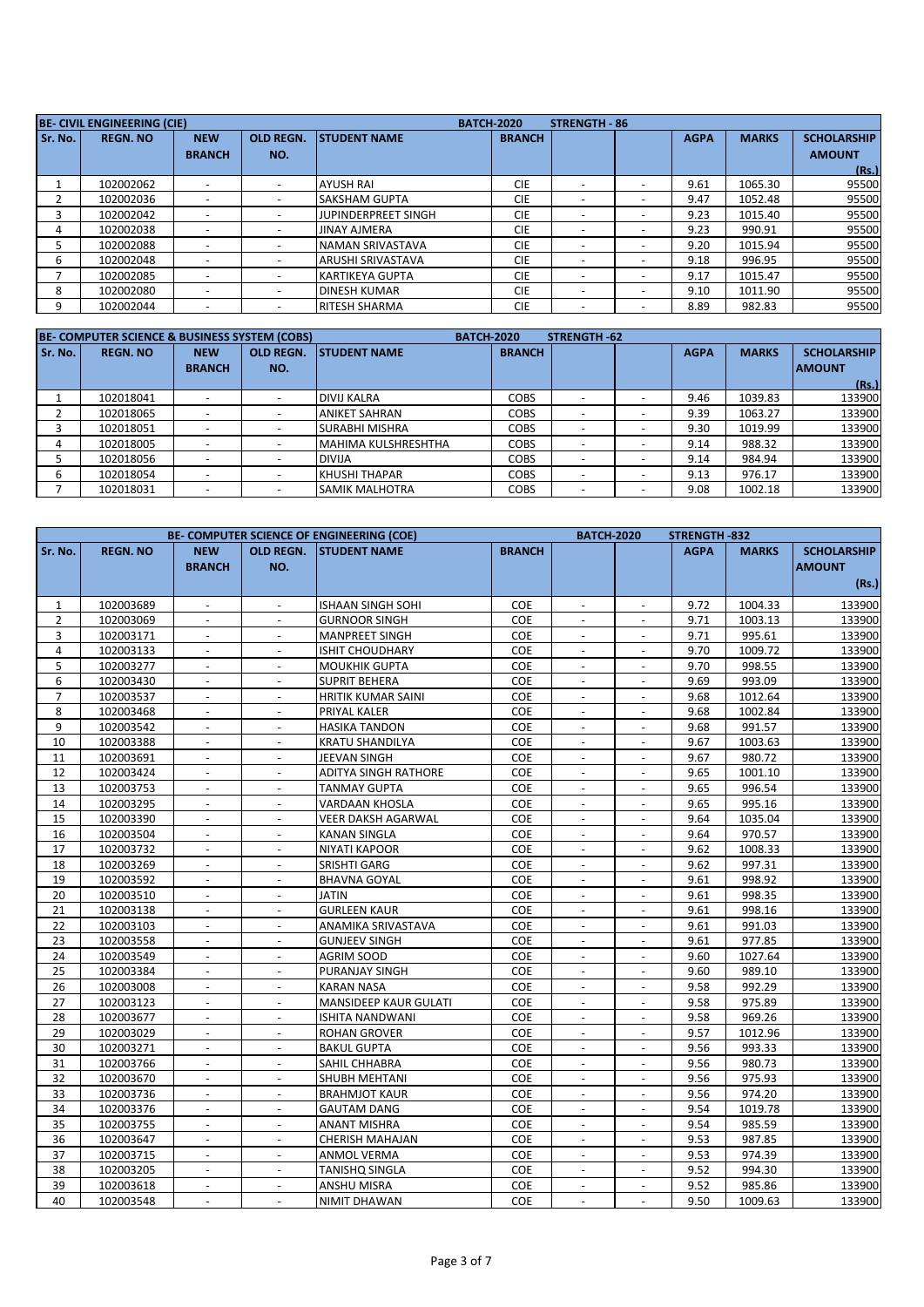|         | <b>BE- CIVIL ENGINEERING (CIE)</b> |                          |                          |                            | <b>BATCH 2020</b> | <b>STRENGTH - 86</b>     |                          |             |              |                    |
|---------|------------------------------------|--------------------------|--------------------------|----------------------------|-------------------|--------------------------|--------------------------|-------------|--------------|--------------------|
| Sr. No. | <b>REGN. NO</b>                    | <b>NEW</b>               | <b>OLD REGN.</b>         | <b>STUDENT NAME</b>        | <b>BRANCH</b>     |                          |                          | <b>AGPA</b> | <b>MARKS</b> | <b>SCHOLARSHIP</b> |
|         |                                    | <b>BRANCH</b>            | NO.                      |                            |                   |                          |                          |             |              | <b>AMOUNT</b>      |
|         |                                    |                          |                          |                            |                   |                          |                          |             |              | (Rs.)              |
|         | 102002062                          | -                        | $\overline{\phantom{a}}$ | <b>AYUSH RAI</b>           | <b>CIE</b>        | $\overline{\phantom{0}}$ | $\overline{\phantom{a}}$ | 9.61        | 1065.30      | 95500              |
|         | 102002036                          |                          | $\overline{\phantom{a}}$ | <b>SAKSHAM GUPTA</b>       | <b>CIE</b>        | $\overline{\phantom{a}}$ | $\overline{\phantom{a}}$ | 9.47        | 1052.48      | 95500              |
| 3       | 102002042                          | $\overline{\phantom{a}}$ | $\overline{\phantom{a}}$ | <b>JUPINDERPREET SINGH</b> | <b>CIE</b>        | $\overline{\phantom{a}}$ | $\overline{\phantom{a}}$ | 9.23        | 1015.40      | 95500              |
| 4       | 102002038                          | $\overline{\phantom{a}}$ |                          | <b>JINAY AJMERA</b>        | <b>CIE</b>        | $\overline{\phantom{a}}$ | $\overline{\phantom{a}}$ | 9.23        | 990.91       | 95500              |
|         | 102002088                          | $\overline{\phantom{a}}$ | $\overline{\phantom{a}}$ | NAMAN SRIVASTAVA           | <b>CIE</b>        | $\overline{\phantom{a}}$ | $\overline{\phantom{a}}$ | 9.20        | 1015.94      | 95500              |
| b       | 102002048                          | $\overline{\phantom{a}}$ | $\overline{\phantom{a}}$ | <b>ARUSHI SRIVASTAVA</b>   | <b>CIE</b>        | $\overline{\phantom{0}}$ | $\overline{\phantom{a}}$ | 9.18        | 996.95       | 95500              |
|         | 102002085                          | $\overline{\phantom{a}}$ |                          | KARTIKEYA GUPTA            | <b>CIE</b>        | $\overline{\phantom{0}}$ | $\overline{\phantom{a}}$ | 9.17        | 1015.47      | 95500              |
| 8       | 102002080                          | -                        | $\overline{\phantom{a}}$ | <b>DINESH KUMAR</b>        | <b>CIE</b>        | $\overline{\phantom{a}}$ | $\overline{\phantom{a}}$ | 9.10        | 1011.90      | 95500              |
| 9       | 102002044                          | -                        |                          | <b>RITESH SHARMA</b>       | <b>CIE</b>        | $\overline{\phantom{a}}$ | $\overline{\phantom{a}}$ | 8.89        | 982.83       | 95500              |

|         | BE- COMPUTER SCIENCE & BUSINESS SYSTEM (COBS) |                          |                  | <b>BATCH-2020</b>          |               | STRENGTH 62              |             |              |                    |
|---------|-----------------------------------------------|--------------------------|------------------|----------------------------|---------------|--------------------------|-------------|--------------|--------------------|
| Sr. No. | <b>REGN. NO</b>                               | <b>NEW</b>               | <b>OLD REGN.</b> | <b>ISTUDENT NAME</b>       | <b>BRANCH</b> |                          | <b>AGPA</b> | <b>MARKS</b> | <b>SCHOLARSHIP</b> |
|         |                                               | <b>BRANCH</b>            | NO.              |                            |               |                          |             |              | <b>AMOUNT</b>      |
|         |                                               |                          |                  |                            |               |                          |             |              | (Rs.)              |
|         | 102018041                                     |                          |                  | <b>DIVIJ KALRA</b>         | <b>COBS</b>   |                          | 9.46        | 1039.83      | 133900             |
|         | 102018065                                     |                          |                  | <b>ANIKET SAHRAN</b>       | <b>COBS</b>   |                          | 9.39        | 1063.27      | 133900             |
|         | 102018051                                     |                          |                  | <b>SURABHI MISHRA</b>      | <b>COBS</b>   | $\overline{\phantom{a}}$ | 9.30        | 1019.99      | 133900             |
| 4       | 102018005                                     |                          |                  | <b>MAHIMA KULSHRESHTHA</b> | <b>COBS</b>   |                          | 9.14        | 988.32       | 133900             |
|         | 102018056                                     |                          |                  | <b>DIVIJA</b>              | <b>COBS</b>   | $\overline{\phantom{a}}$ | 9.14        | 984.94       | 133900             |
| 6       | 102018054                                     |                          |                  | KHUSHI THAPAR              | <b>COBS</b>   | $\overline{\phantom{a}}$ | 9.13        | 976.17       | 133900             |
|         | 102018031                                     | $\overline{\phantom{a}}$ |                  | <b>SAMIK MALHOTRA</b>      | <b>COBS</b>   | $\overline{\phantom{0}}$ | 9.08        | 1002.18      | 133900             |

|                | BE- COMPUTER SCIENCE OF ENGINEERING (COE) |                          |                          |                              |               | <b>BATCH-2020</b>        |                          | STRENGTH-832 |              |                    |
|----------------|-------------------------------------------|--------------------------|--------------------------|------------------------------|---------------|--------------------------|--------------------------|--------------|--------------|--------------------|
| Sr. No.        | <b>REGN. NO</b>                           | <b>NEW</b>               | OLD REGN.                | <b>STUDENT NAME</b>          | <b>BRANCH</b> |                          |                          | <b>AGPA</b>  | <b>MARKS</b> | <b>SCHOLARSHIP</b> |
|                |                                           | <b>BRANCH</b>            | NO.                      |                              |               |                          |                          |              |              | <b>AMOUNT</b>      |
|                |                                           |                          |                          |                              |               |                          |                          |              |              | (Rs.)              |
| $\mathbf{1}$   | 102003689                                 | $\blacksquare$           | $\overline{a}$           | ISHAAN SINGH SOHI            | <b>COE</b>    | $\sim$                   | $\sim$                   | 9.72         | 1004.33      | 133900             |
| $\overline{2}$ | 102003069                                 | $\blacksquare$           |                          | <b>GURNOOR SINGH</b>         | <b>COE</b>    | $\blacksquare$           |                          | 9.71         | 1003.13      | 133900             |
| 3              | 102003171                                 | $\overline{\phantom{a}}$ | $\overline{\phantom{a}}$ | <b>MANPREET SINGH</b>        | <b>COE</b>    | $\overline{\phantom{a}}$ | $\overline{\phantom{a}}$ | 9.71         | 995.61       | 133900             |
| 4              | 102003133                                 | $\blacksquare$           | $\overline{a}$           | <b>ISHIT CHOUDHARY</b>       | <b>COE</b>    | $\overline{\phantom{a}}$ | $\overline{\phantom{a}}$ | 9.70         | 1009.72      | 133900             |
| 5              | 102003277                                 | $\mathcal{L}$            | $\overline{\phantom{a}}$ | <b>MOUKHIK GUPTA</b>         | <b>COE</b>    | $\overline{\phantom{a}}$ | $\overline{\phantom{a}}$ | 9.70         | 998.55       | 133900             |
| 6              | 102003430                                 | $\blacksquare$           | $\overline{\phantom{a}}$ | <b>SUPRIT BEHERA</b>         | COE           | $\blacksquare$           | $\overline{\phantom{a}}$ | 9.69         | 993.09       | 133900             |
| $\overline{7}$ | 102003537                                 | $\overline{\phantom{a}}$ | $\overline{a}$           | HRITIK KUMAR SAINI           | <b>COE</b>    | $\overline{a}$           | $\overline{a}$           | 9.68         | 1012.64      | 133900             |
| 8              | 102003468                                 | $\blacksquare$           | $\overline{\phantom{a}}$ | PRIYAL KALER                 | COE           | $\overline{\phantom{a}}$ | $\overline{\phantom{a}}$ | 9.68         | 1002.84      | 133900             |
| 9              | 102003542                                 | $\overline{\phantom{a}}$ | $\overline{\phantom{a}}$ | <b>HASIKA TANDON</b>         | COE           | $\overline{\phantom{a}}$ | $\overline{\phantom{a}}$ | 9.68         | 991.57       | 133900             |
| 10             | 102003388                                 | $\overline{a}$           | $\overline{a}$           | KRATU SHANDILYA              | <b>COE</b>    |                          | $\overline{a}$           | 9.67         | 1003.63      | 133900             |
| 11             | 102003691                                 | $\mathcal{L}$            | $\overline{\phantom{a}}$ | JEEVAN SINGH                 | <b>COE</b>    | $\overline{\phantom{a}}$ | $\overline{\phantom{a}}$ | 9.67         | 980.72       | 133900             |
| 12             | 102003424                                 | $\overline{\phantom{a}}$ | $\overline{\phantom{a}}$ | ADITYA SINGH RATHORE         | <b>COE</b>    | $\overline{\phantom{a}}$ | $\overline{\phantom{a}}$ | 9.65         | 1001.10      | 133900             |
| 13             | 102003753                                 | $\sim$                   | $\overline{\phantom{a}}$ | TANMAY GUPTA                 | <b>COE</b>    | $\sim$                   |                          | 9.65         | 996.54       | 133900             |
| 14             | 102003295                                 | $\mathcal{L}$            | $\overline{\phantom{a}}$ | VARDAAN KHOSLA               | COE           | $\overline{\phantom{a}}$ | $\overline{\phantom{a}}$ | 9.65         | 995.16       | 133900             |
| 15             | 102003390                                 | $\blacksquare$           | $\overline{\phantom{a}}$ | VEER DAKSH AGARWAL           | <b>COE</b>    | $\blacksquare$           | $\overline{\phantom{a}}$ | 9.64         | 1035.04      | 133900             |
| 16             | 102003504                                 | $\sim$                   | $\overline{\phantom{a}}$ | KANAN SINGLA                 | <b>COE</b>    | $\overline{\phantom{a}}$ |                          | 9.64         | 970.57       | 133900             |
| 17             | 102003732                                 | $\blacksquare$           | $\blacksquare$           | NIYATI KAPOOR                | <b>COE</b>    | $\overline{\phantom{a}}$ | $\overline{\phantom{a}}$ | 9.62         | 1008.33      | 133900             |
| 18             | 102003269                                 | $\overline{\phantom{a}}$ | $\overline{\phantom{a}}$ | <b>SRISHTI GARG</b>          | <b>COE</b>    | $\overline{\phantom{a}}$ | $\blacksquare$           | 9.62         | 997.31       | 133900             |
| 19             | 102003592                                 | $\overline{a}$           | $\overline{\phantom{a}}$ | <b>BHAVNA GOYAL</b>          | <b>COE</b>    | $\overline{\phantom{a}}$ |                          | 9.61         | 998.92       | 133900             |
| 20             | 102003510                                 | $\blacksquare$           | $\overline{a}$           | <b>JATIN</b>                 | COE           | $\overline{\phantom{a}}$ | $\blacksquare$           | 9.61         | 998.35       | 133900             |
| 21             | 102003138                                 | $\overline{\phantom{a}}$ | $\overline{\phantom{a}}$ | <b>GURLEEN KAUR</b>          | <b>COE</b>    | $\overline{\phantom{a}}$ | $\blacksquare$           | 9.61         | 998.16       | 133900             |
| 22             | 102003103                                 | $\overline{a}$           | $\overline{a}$           | ANAMIKA SRIVASTAVA           | <b>COE</b>    | $\sim$                   | $\overline{\phantom{a}}$ | 9.61         | 991.03       | 133900             |
| 23             | 102003558                                 | $\mathbf{r}$             | $\blacksquare$           | <b>GUNJEEV SINGH</b>         | <b>COE</b>    | $\mathcal{L}$            | $\overline{\phantom{a}}$ | 9.61         | 977.85       | 133900             |
| 24             | 102003549                                 | $\overline{\phantom{a}}$ | $\overline{\phantom{a}}$ | <b>AGRIM SOOD</b>            | <b>COE</b>    | $\overline{\phantom{a}}$ | $\overline{\phantom{a}}$ | 9.60         | 1027.64      | 133900             |
| 25             | 102003384                                 | $\overline{a}$           | $\overline{\phantom{a}}$ | PURANJAY SINGH               | COE           |                          |                          | 9.60         | 989.10       | 133900             |
| 26             | 102003008                                 | $\mathbb{L}$             | $\blacksquare$           | <b>KARAN NASA</b>            | COE           | $\omega$                 | $\omega$                 | 9.58         | 992.29       | 133900             |
| 27             | 102003123                                 | $\overline{\phantom{a}}$ | $\overline{\phantom{a}}$ | <b>MANSIDEEP KAUR GULATI</b> | <b>COE</b>    | $\overline{\phantom{a}}$ | $\overline{\phantom{a}}$ | 9.58         | 975.89       | 133900             |
| 28             | 102003677                                 | $\overline{\phantom{a}}$ | $\overline{\phantom{a}}$ | ISHITA NANDWANI              | COE           | $\overline{\phantom{a}}$ |                          | 9.58         | 969.26       | 133900             |
| 29             | 102003029                                 | $\blacksquare$           | $\blacksquare$           | <b>ROHAN GROVER</b>          | COE           | $\sim$                   | $\omega$                 | 9.57         | 1012.96      | 133900             |
| 30             | 102003271                                 | $\overline{\phantom{a}}$ | $\overline{\phantom{a}}$ | <b>BAKUL GUPTA</b>           | <b>COE</b>    | $\overline{\phantom{a}}$ | $\overline{\phantom{a}}$ | 9.56         | 993.33       | 133900             |
| 31             | 102003766                                 | $\overline{\phantom{a}}$ | $\overline{\phantom{a}}$ | SAHIL CHHABRA                | COE           | $\overline{\phantom{a}}$ |                          | 9.56         | 980.73       | 133900             |
| 32             | 102003670                                 | $\mathcal{L}$            | $\overline{\phantom{a}}$ | SHUBH MEHTANI                | <b>COE</b>    | $\sim$                   | $\sim$                   | 9.56         | 975.93       | 133900             |
| 33             | 102003736                                 | $\overline{\phantom{a}}$ | $\overline{\phantom{a}}$ | <b>BRAHMJOT KAUR</b>         | <b>COE</b>    | $\overline{\phantom{a}}$ | $\overline{\phantom{a}}$ | 9.56         | 974.20       | 133900             |
| 34             | 102003376                                 | $\blacksquare$           |                          | <b>GAUTAM DANG</b>           | <b>COE</b>    |                          |                          | 9.54         | 1019.78      | 133900             |
| 35             | 102003755                                 | $\sim$                   | $\overline{a}$           | ANANT MISHRA                 | <b>COE</b>    | $\overline{\phantom{a}}$ | $\sim$                   | 9.54         | 985.59       | 133900             |
| 36             | 102003647                                 | $\overline{\phantom{a}}$ | $\overline{\phantom{a}}$ | <b>CHERISH MAHAJAN</b>       | <b>COE</b>    | $\overline{\phantom{a}}$ | $\overline{\phantom{a}}$ | 9.53         | 987.85       | 133900             |
| 37             | 102003715                                 | $\blacksquare$           | $\overline{\phantom{a}}$ | ANMOL VERMA                  | COE           |                          |                          | 9.53         | 974.39       | 133900             |
| 38             | 102003205                                 | $\blacksquare$           | $\blacksquare$           | <b>TANISHQ SINGLA</b>        | <b>COE</b>    | $\sim$                   | $\sim$                   | 9.52         | 994.30       | 133900             |
| 39             | 102003618                                 | $\overline{\phantom{a}}$ | $\overline{\phantom{a}}$ | <b>ANSHU MISRA</b>           | <b>COE</b>    | $\overline{\phantom{a}}$ | $\overline{\phantom{a}}$ | 9.52         | 985.86       | 133900             |
| 40             | 102003548                                 | $\blacksquare$           |                          | NIMIT DHAWAN                 | COE           |                          |                          | 9.50         | 1009.63      | 133900             |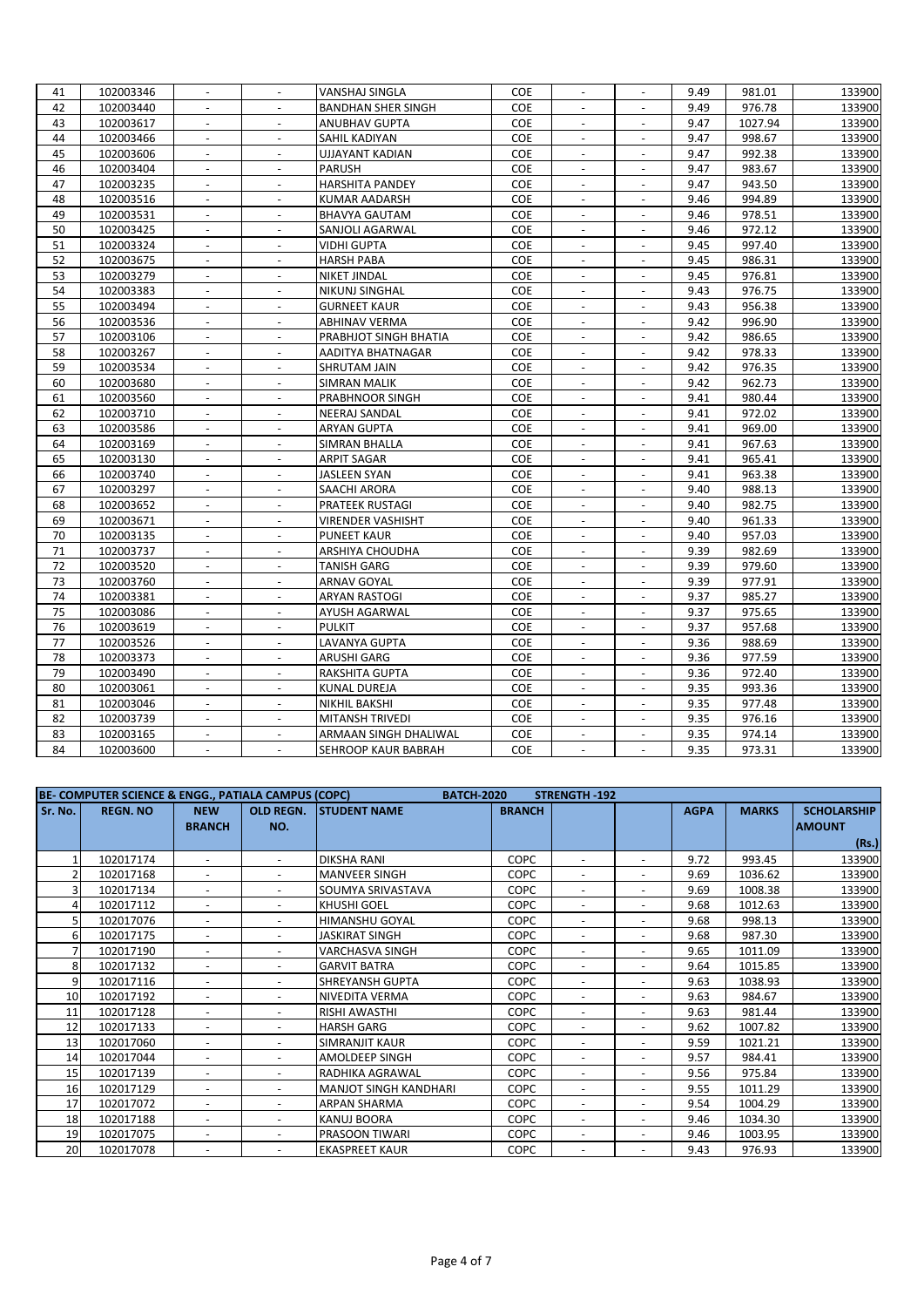| 41 | 102003346 | $\overline{\phantom{a}}$  | <b>VANSHAJ SINGLA</b><br>$\overline{\phantom{a}}$  | <b>COE</b> | $\overline{\phantom{a}}$ |                          | 9.49 | 981.01  | 133900 |
|----|-----------|---------------------------|----------------------------------------------------|------------|--------------------------|--------------------------|------|---------|--------|
| 42 | 102003440 |                           | <b>BANDHAN SHER SINGH</b>                          | <b>COE</b> |                          |                          | 9.49 | 976.78  | 133900 |
| 43 | 102003617 | $\mathbb{L}^2$            | $\overline{\phantom{a}}$<br>ANUBHAV GUPTA          | COE        | $\omega$                 | $\omega$                 | 9.47 | 1027.94 | 133900 |
| 44 | 102003466 | $\overline{\phantom{a}}$  | SAHIL KADIYAN<br>$\overline{\phantom{a}}$          | COE        | $\overline{\phantom{a}}$ | $\overline{\phantom{a}}$ | 9.47 | 998.67  | 133900 |
| 45 | 102003606 | $\blacksquare$            | UJJAYANT KADIAN<br>$\overline{\phantom{a}}$        | <b>COE</b> | $\overline{\phantom{a}}$ |                          | 9.47 | 992.38  | 133900 |
| 46 | 102003404 | $\blacksquare$            | <b>PARUSH</b><br>$\blacksquare$                    | COE        | $\blacksquare$           | $\blacksquare$           | 9.47 | 983.67  | 133900 |
| 47 | 102003235 | $\blacksquare$            | <b>HARSHITA PANDEY</b><br>$\overline{\phantom{a}}$ | COE        | $\blacksquare$           | $\blacksquare$           | 9.47 | 943.50  | 133900 |
| 48 | 102003516 | $\overline{\phantom{a}}$  | KUMAR AADARSH<br>$\blacksquare$                    | <b>COE</b> | $\overline{a}$           |                          | 9.46 | 994.89  | 133900 |
| 49 | 102003531 | $\blacksquare$            | <b>BHAVYA GAUTAM</b><br>$\overline{a}$             | COE        | $\blacksquare$           | $\blacksquare$           | 9.46 | 978.51  | 133900 |
| 50 | 102003425 | $\blacksquare$            | SANJOLI AGARWAL<br>$\overline{\phantom{a}}$        | COE        | $\blacksquare$           | $\blacksquare$           | 9.46 | 972.12  | 133900 |
| 51 | 102003324 | $\overline{a}$            | VIDHI GUPTA<br>$\overline{a}$                      | <b>COE</b> |                          | $\overline{a}$           | 9.45 | 997.40  | 133900 |
| 52 | 102003675 | $\overline{\phantom{a}}$  | <b>HARSH PABA</b>                                  | COE        |                          |                          | 9.45 | 986.31  | 133900 |
| 53 | 102003279 | $\blacksquare$            | NIKET JINDAL<br>$\blacksquare$                     | COE        | $\blacksquare$           | $\blacksquare$           | 9.45 | 976.81  | 133900 |
| 54 | 102003383 | $\blacksquare$            | NIKUNJ SINGHAL<br>$\blacksquare$                   | COE        |                          | $\overline{a}$           | 9.43 | 976.75  | 133900 |
| 55 | 102003494 | $\overline{\phantom{a}}$  | <b>GURNEET KAUR</b>                                | COE        |                          |                          | 9.43 | 956.38  | 133900 |
| 56 | 102003536 | $\blacksquare$            | <b>ABHINAV VERMA</b><br>$\overline{\phantom{a}}$   | COE        | $\blacksquare$           | $\overline{\phantom{a}}$ | 9.42 | 996.90  | 133900 |
| 57 | 102003106 | $\overline{\phantom{a}}$  | PRABHJOT SINGH BHATIA<br>$\overline{a}$            | <b>COE</b> | $\overline{a}$           | $\overline{\phantom{a}}$ | 9.42 | 986.65  | 133900 |
| 58 | 102003267 | $\blacksquare$            | AADITYA BHATNAGAR                                  | COE        |                          |                          | 9.42 | 978.33  | 133900 |
| 59 | 102003534 | $\blacksquare$            | <b>SHRUTAM JAIN</b><br>$\blacksquare$              | <b>COE</b> | $\blacksquare$           | $\blacksquare$           | 9.42 | 976.35  | 133900 |
| 60 | 102003680 | $\blacksquare$            | <b>SIMRAN MALIK</b><br>$\overline{\phantom{a}}$    | <b>COE</b> | $\overline{\phantom{a}}$ | $\blacksquare$           | 9.42 | 962.73  | 133900 |
| 61 | 102003560 | $\blacksquare$            | PRABHNOOR SINGH                                    | COE        |                          |                          | 9.41 | 980.44  | 133900 |
| 62 | 102003710 | $\omega$                  | <b>NEERAJ SANDAL</b><br>$\blacksquare$             | <b>COE</b> | $\omega$                 | $\omega$                 | 9.41 | 972.02  | 133900 |
| 63 | 102003586 | $\overline{\phantom{a}}$  | <b>ARYAN GUPTA</b><br>$\overline{\phantom{a}}$     | <b>COE</b> | $\overline{\phantom{a}}$ | $\blacksquare$           | 9.41 | 969.00  | 133900 |
| 64 | 102003169 | $\sim$                    | SIMRAN BHALLA<br>$\overline{a}$                    | COE        | $\overline{\phantom{a}}$ |                          | 9.41 | 967.63  | 133900 |
| 65 | 102003130 | $\mathcal{L}$             | $\overline{\phantom{a}}$<br>ARPIT SAGAR            | COE        | $\sim$                   | $\mathbb{L}$             | 9.41 | 965.41  | 133900 |
| 66 | 102003740 | $\overline{\phantom{a}}$  | JASLEEN SYAN<br>$\overline{\phantom{a}}$           | <b>COE</b> | $\overline{\phantom{a}}$ | $\overline{\phantom{a}}$ | 9.41 | 963.38  | 133900 |
| 67 | 102003297 | $\blacksquare$            | SAACHI ARORA<br>$\overline{\phantom{a}}$           | <b>COE</b> | $\overline{\phantom{a}}$ |                          | 9.40 | 988.13  | 133900 |
| 68 | 102003652 | $\mathbb{Z}^{\mathbb{Z}}$ | $\overline{\phantom{a}}$<br>PRATEEK RUSTAGI        | <b>COE</b> | $\mathbb{L}$             | $\omega$                 | 9.40 | 982.75  | 133900 |
| 69 | 102003671 | $\overline{\phantom{a}}$  | VIRENDER VASHISHT<br>$\overline{\phantom{a}}$      | COE        | $\overline{\phantom{a}}$ | $\overline{\phantom{a}}$ | 9.40 | 961.33  | 133900 |
| 70 | 102003135 | $\blacksquare$            | <b>PUNEET KAUR</b><br>$\overline{\phantom{a}}$     | <b>COE</b> | $\overline{\phantom{a}}$ | $\overline{\phantom{a}}$ | 9.40 | 957.03  | 133900 |
| 71 | 102003737 | $\mathcal{L}$             | $\overline{\phantom{a}}$<br>ARSHIYA CHOUDHA        | <b>COE</b> | $\overline{\phantom{a}}$ | $\mathbf{r}$             | 9.39 | 982.69  | 133900 |
| 72 | 102003520 | $\overline{\phantom{a}}$  | <b>TANISH GARG</b><br>$\overline{\phantom{a}}$     | COE        | $\blacksquare$           | $\overline{\phantom{a}}$ | 9.39 | 979.60  | 133900 |
| 73 | 102003760 | $\blacksquare$            | ARNAV GOYAL<br>$\overline{\phantom{a}}$            | <b>COE</b> | $\overline{\phantom{a}}$ | $\blacksquare$           | 9.39 | 977.91  | 133900 |
| 74 | 102003381 | $\blacksquare$            | <b>ARYAN RASTOGI</b><br>$\overline{\phantom{a}}$   | <b>COE</b> | $\overline{\phantom{a}}$ |                          | 9.37 | 985.27  | 133900 |
| 75 | 102003086 | $\overline{\phantom{a}}$  | AYUSH AGARWAL<br>$\overline{\phantom{a}}$          | COE        | $\blacksquare$           | $\overline{\phantom{a}}$ | 9.37 | 975.65  | 133900 |
| 76 | 102003619 | $\overline{\phantom{a}}$  | <b>PULKIT</b><br>$\overline{\phantom{a}}$          | COE        |                          | $\overline{a}$           | 9.37 | 957.68  | 133900 |
| 77 | 102003526 | $\overline{\phantom{a}}$  | LAVANYA GUPTA                                      | <b>COE</b> |                          |                          | 9.36 | 988.69  | 133900 |
| 78 | 102003373 | $\overline{\phantom{a}}$  | <b>ARUSHI GARG</b><br>$\overline{\phantom{a}}$     | COE        | $\overline{\phantom{a}}$ | $\blacksquare$           | 9.36 | 977.59  | 133900 |
| 79 | 102003490 | $\overline{\phantom{a}}$  | RAKSHITA GUPTA<br>$\overline{a}$                   | COE        | $\overline{\phantom{a}}$ | $\overline{\phantom{a}}$ | 9.36 | 972.40  | 133900 |
| 80 | 102003061 | $\blacksquare$            | KUNAL DUREJA<br>$\blacksquare$                     | <b>COE</b> |                          |                          | 9.35 | 993.36  | 133900 |
| 81 | 102003046 | $\blacksquare$            | NIKHIL BAKSHI<br>$\overline{\phantom{a}}$          | COE        | $\overline{\phantom{a}}$ | $\overline{\phantom{a}}$ | 9.35 | 977.48  | 133900 |
| 82 | 102003739 | $\overline{\phantom{a}}$  | <b>MITANSH TRIVEDI</b><br>$\blacksquare$           | <b>COE</b> | $\overline{\phantom{a}}$ | $\overline{\phantom{a}}$ | 9.35 | 976.16  | 133900 |
| 83 | 102003165 | $\overline{\phantom{a}}$  | ARMAAN SINGH DHALIWAL                              | <b>COE</b> |                          |                          | 9.35 | 974.14  | 133900 |
| 84 | 102003600 | $\blacksquare$            | SEHROOP KAUR BABRAH<br>$\blacksquare$              | <b>COE</b> | $\blacksquare$           | $\blacksquare$           | 9.35 | 973.31  | 133900 |
|    |           |                           |                                                    |            |                          |                          |      |         |        |

|                | BE- COMPUTER SCIENCE & ENGG., PATIALA CAMPUS (COPC) |                          |                          | <b>BATCH-2020</b>            |               | <b>STRENGTH-192</b>      |                          |             |              |                    |
|----------------|-----------------------------------------------------|--------------------------|--------------------------|------------------------------|---------------|--------------------------|--------------------------|-------------|--------------|--------------------|
| Sr. No.        | <b>REGN. NO</b>                                     | <b>NEW</b>               | <b>OLD REGN.</b>         | <b>STUDENT NAME</b>          | <b>BRANCH</b> |                          |                          | <b>AGPA</b> | <b>MARKS</b> | <b>SCHOLARSHIP</b> |
|                |                                                     | <b>BRANCH</b>            | NO.                      |                              |               |                          |                          |             |              | <b>AMOUNT</b>      |
|                |                                                     |                          |                          |                              |               |                          |                          |             |              | (Rs.)              |
| $\mathbf{1}$   | 102017174                                           | $\overline{\phantom{0}}$ | $\overline{\phantom{a}}$ | <b>DIKSHA RANI</b>           | <b>COPC</b>   | $\overline{\phantom{a}}$ | -                        | 9.72        | 993.45       | 133900             |
| $\overline{2}$ | 102017168                                           | ٠                        |                          | <b>MANVEER SINGH</b>         | <b>COPC</b>   | $\overline{\phantom{a}}$ |                          | 9.69        | 1036.62      | 133900             |
| 3              | 102017134                                           | ٠                        | $\overline{\phantom{a}}$ | SOUMYA SRIVASTAVA            | <b>COPC</b>   | $\overline{\phantom{a}}$ | $\overline{\phantom{a}}$ | 9.69        | 1008.38      | 133900             |
| 4              | 102017112                                           |                          | $\overline{\phantom{a}}$ | <b>KHUSHI GOEL</b>           | <b>COPC</b>   | $\overline{\phantom{a}}$ |                          | 9.68        | 1012.63      | 133900             |
| 5              | 102017076                                           | ٠                        | $\overline{\phantom{a}}$ | <b>HIMANSHU GOYAL</b>        | <b>COPC</b>   | $\overline{\phantom{a}}$ |                          | 9.68        | 998.13       | 133900             |
| 6              | 102017175                                           | ٠                        |                          | JASKIRAT SINGH               | <b>COPC</b>   | $\overline{\phantom{a}}$ | $\overline{\phantom{a}}$ | 9.68        | 987.30       | 133900             |
|                | 102017190                                           |                          |                          | <b>VARCHASVA SINGH</b>       | <b>COPC</b>   |                          |                          | 9.65        | 1011.09      | 133900             |
| 8              | 102017132                                           |                          |                          | <b>GARVIT BATRA</b>          | <b>COPC</b>   |                          |                          | 9.64        | 1015.85      | 133900             |
| 9              | 102017116                                           |                          |                          | <b>SHREYANSH GUPTA</b>       | <b>COPC</b>   |                          |                          | 9.63        | 1038.93      | 133900             |
| 10             | 102017192                                           |                          |                          | NIVEDITA VERMA               | <b>COPC</b>   |                          |                          | 9.63        | 984.67       | 133900             |
| 11             | 102017128                                           |                          | $\overline{\phantom{a}}$ | <b>RISHI AWASTHI</b>         | <b>COPC</b>   |                          |                          | 9.63        | 981.44       | 133900             |
| 12             | 102017133                                           | $\overline{\phantom{0}}$ | $\overline{\phantom{a}}$ | <b>HARSH GARG</b>            | <b>COPC</b>   | $\overline{\phantom{a}}$ |                          | 9.62        | 1007.82      | 133900             |
| 13             | 102017060                                           | $\overline{\phantom{a}}$ | $\overline{\phantom{a}}$ | <b>SIMRANJIT KAUR</b>        | <b>COPC</b>   | $\overline{\phantom{a}}$ | $\overline{\phantom{a}}$ | 9.59        | 1021.21      | 133900             |
| 14             | 102017044                                           | $\overline{\phantom{a}}$ | $\overline{\phantom{a}}$ | AMOLDEEP SINGH               | <b>COPC</b>   | $\overline{\phantom{a}}$ | $\overline{\phantom{a}}$ | 9.57        | 984.41       | 133900             |
| 15             | 102017139                                           | $\overline{\phantom{a}}$ | $\overline{\phantom{a}}$ | RADHIKA AGRAWAL              | <b>COPC</b>   | $\overline{\phantom{a}}$ | $\overline{\phantom{a}}$ | 9.56        | 975.84       | 133900             |
| 16             | 102017129                                           | $\overline{\phantom{a}}$ |                          | <b>MANJOT SINGH KANDHARI</b> | <b>COPC</b>   | $\overline{\phantom{a}}$ | $\overline{\phantom{a}}$ | 9.55        | 1011.29      | 133900             |
| 17             | 102017072                                           | $\overline{\phantom{a}}$ |                          | <b>ARPAN SHARMA</b>          | <b>COPC</b>   | $\overline{\phantom{a}}$ | $\overline{\phantom{a}}$ | 9.54        | 1004.29      | 133900             |
| 18             | 102017188                                           | ٠                        | $\overline{\phantom{a}}$ | KANUJ BOORA                  | <b>COPC</b>   | $\overline{\phantom{a}}$ | $\overline{\phantom{a}}$ | 9.46        | 1034.30      | 133900             |
| 19             | 102017075                                           | $\overline{\phantom{a}}$ | $\overline{\phantom{a}}$ | <b>PRASOON TIWARI</b>        | <b>COPC</b>   | $\overline{\phantom{a}}$ | $\overline{\phantom{a}}$ | 9.46        | 1003.95      | 133900             |
| 20             | 102017078                                           |                          |                          | <b>EKASPREET KAUR</b>        | <b>COPC</b>   |                          |                          | 9.43        | 976.93       | 133900             |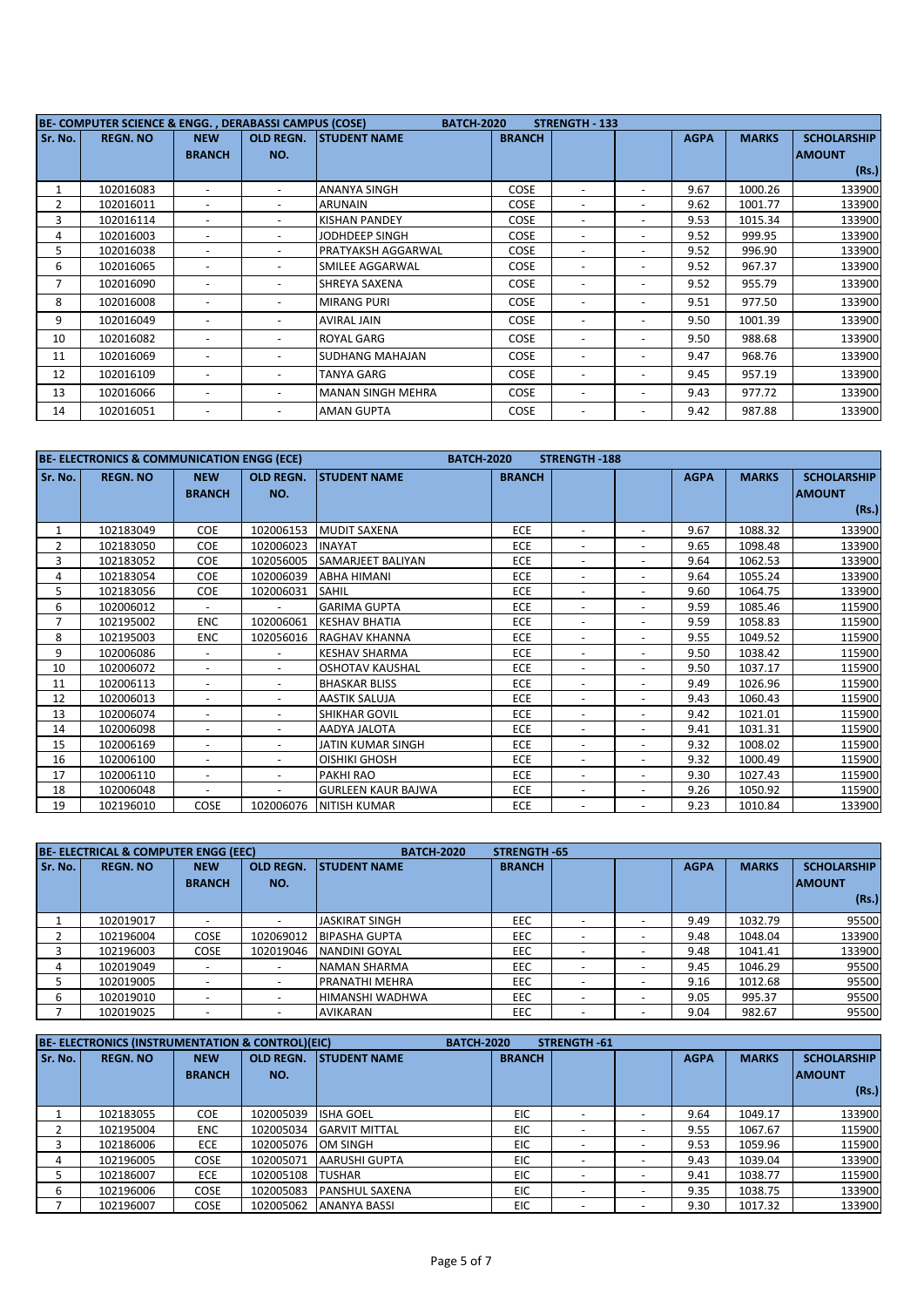| BE- COMPUTER SCIENCE & ENGG., DERABASSI CAMPUS (COSE)<br><b>STRENGTH - 133</b><br><b>BATCH-2020</b> |                 |                          |                          |                           |               |                          |                          |             |              |                    |
|-----------------------------------------------------------------------------------------------------|-----------------|--------------------------|--------------------------|---------------------------|---------------|--------------------------|--------------------------|-------------|--------------|--------------------|
| Sr. No.                                                                                             | <b>REGN. NO</b> | <b>NEW</b>               | <b>OLD REGN.</b>         | <b>STUDENT NAME</b>       | <b>BRANCH</b> |                          |                          | <b>AGPA</b> | <b>MARKS</b> | <b>SCHOLARSHIP</b> |
|                                                                                                     |                 | <b>BRANCH</b>            | NO.                      |                           |               |                          |                          |             |              | <b>AMOUNT</b>      |
|                                                                                                     |                 |                          |                          |                           |               |                          |                          |             |              | (Rs.)              |
|                                                                                                     | 102016083       | -                        | $\overline{\phantom{a}}$ | <b>ANANYA SINGH</b>       | <b>COSE</b>   | $\overline{\phantom{a}}$ | $\overline{\phantom{a}}$ | 9.67        | 1000.26      | 133900             |
| $\overline{2}$                                                                                      | 102016011       | $\overline{\phantom{a}}$ |                          | <b>ARUNAIN</b>            | <b>COSE</b>   | $\overline{\phantom{a}}$ | $\overline{\phantom{a}}$ | 9.62        | 1001.77      | 133900             |
| 3                                                                                                   | 102016114       | $\overline{\phantom{a}}$ | $\overline{\phantom{a}}$ | IKISHAN PANDEY            | <b>COSE</b>   | $\overline{\phantom{a}}$ | $\overline{\phantom{a}}$ | 9.53        | 1015.34      | 133900             |
| 4                                                                                                   | 102016003       | ٠                        | $\overline{\phantom{a}}$ | JODHDEEP SINGH            | COSE          | $\overline{\phantom{a}}$ | ٠                        | 9.52        | 999.95       | 133900             |
| 5                                                                                                   | 102016038       | -                        | $\overline{\phantom{a}}$ | <b>PRATYAKSH AGGARWAL</b> | <b>COSE</b>   | $\overline{\phantom{a}}$ | $\overline{\phantom{a}}$ | 9.52        | 996.90       | 133900             |
| 6                                                                                                   | 102016065       |                          |                          | SMILEE AGGARWAL           | COSE          | $\overline{\phantom{a}}$ |                          | 9.52        | 967.37       | 133900             |
|                                                                                                     | 102016090       |                          |                          | SHREYA SAXENA             | COSE          | $\overline{\phantom{a}}$ | $\overline{\phantom{a}}$ | 9.52        | 955.79       | 133900             |
| 8                                                                                                   | 102016008       | -                        |                          | <b>MIRANG PURI</b>        | COSE          | $\overline{\phantom{a}}$ | $\overline{\phantom{a}}$ | 9.51        | 977.50       | 133900             |
| 9                                                                                                   | 102016049       | -                        | $\overline{\phantom{a}}$ | <b>AVIRAL JAIN</b>        | COSE          | $\overline{\phantom{a}}$ | $\overline{\phantom{a}}$ | 9.50        | 1001.39      | 133900             |
| 10                                                                                                  | 102016082       | -                        | $\overline{\phantom{a}}$ | <b>ROYAL GARG</b>         | <b>COSE</b>   | $\overline{\phantom{a}}$ | $\overline{\phantom{a}}$ | 9.50        | 988.68       | 133900             |
| 11                                                                                                  | 102016069       | $\overline{\phantom{0}}$ | $\overline{\phantom{a}}$ | SUDHANG MAHAJAN           | COSE          | $\overline{\phantom{a}}$ | $\overline{\phantom{a}}$ | 9.47        | 968.76       | 133900             |
| 12                                                                                                  | 102016109       | -                        | $\overline{\phantom{a}}$ | <b>TANYA GARG</b>         | COSE          | $\overline{\phantom{a}}$ | $\overline{\phantom{a}}$ | 9.45        | 957.19       | 133900             |
| 13                                                                                                  | 102016066       | -                        | $\overline{\phantom{a}}$ | MANAN SINGH MEHRA         | COSE          | $\overline{\phantom{a}}$ | $\overline{\phantom{a}}$ | 9.43        | 977.72       | 133900             |
| 14                                                                                                  | 102016051       | $\overline{\phantom{a}}$ | $\overline{\phantom{a}}$ | <b>AMAN GUPTA</b>         | COSE          | $\overline{\phantom{a}}$ | $\overline{\phantom{a}}$ | 9.42        | 987.88       | 133900             |

|                | <b>BE-ELECTRONICS &amp; COMMUNICATION ENGG (ECE)</b> |                             |                          | <b>BATCH-2020</b>         |               | <b>STRENGTH-188</b>      |                          |             |              |                                     |
|----------------|------------------------------------------------------|-----------------------------|--------------------------|---------------------------|---------------|--------------------------|--------------------------|-------------|--------------|-------------------------------------|
| Sr. No.        | <b>REGN. NO</b>                                      | <b>NEW</b><br><b>BRANCH</b> | <b>OLD REGN.</b><br>NO.  | <b>STUDENT NAME</b>       | <b>BRANCH</b> |                          |                          | <b>AGPA</b> | <b>MARKS</b> | <b>SCHOLARSHIP</b><br><b>AMOUNT</b> |
|                |                                                      |                             |                          |                           |               |                          |                          |             |              | (Rs.)                               |
|                | 102183049                                            | COE                         | 102006153                | <b>MUDIT SAXENA</b>       | <b>ECE</b>    | $\overline{\phantom{a}}$ | $\overline{\phantom{0}}$ | 9.67        | 1088.32      | 133900                              |
| $\overline{2}$ | 102183050                                            | <b>COE</b>                  | 102006023                | <b>INAYAT</b>             | <b>ECE</b>    | $\overline{\phantom{a}}$ | $\overline{\phantom{0}}$ | 9.65        | 1098.48      | 133900                              |
| 3              | 102183052                                            | <b>COE</b>                  | 102056005                | SAMARJEET BALIYAN         | <b>ECE</b>    | $\overline{\phantom{a}}$ | $\overline{\phantom{a}}$ | 9.64        | 1062.53      | 133900                              |
| 4              | 102183054                                            | <b>COE</b>                  | 102006039                | <b>ABHA HIMANI</b>        | <b>ECE</b>    | $\overline{\phantom{a}}$ | ٠                        | 9.64        | 1055.24      | 133900                              |
| 5              | 102183056                                            | COE                         | 102006031                | <b>SAHIL</b>              | <b>ECE</b>    | $\overline{\phantom{a}}$ | ۰                        | 9.60        | 1064.75      | 133900                              |
| 6              | 102006012                                            |                             |                          | <b>GARIMA GUPTA</b>       | <b>ECE</b>    | $\overline{\phantom{a}}$ | ٠                        | 9.59        | 1085.46      | 115900                              |
| 7              | 102195002                                            | <b>ENC</b>                  | 102006061                | <b>KESHAV BHATIA</b>      | <b>ECE</b>    | $\overline{\phantom{a}}$ | ٠                        | 9.59        | 1058.83      | 115900                              |
| 8              | 102195003                                            | <b>ENC</b>                  | 102056016                | <b>RAGHAV KHANNA</b>      | <b>ECE</b>    | $\overline{\phantom{a}}$ | $\overline{\phantom{a}}$ | 9.55        | 1049.52      | 115900                              |
| 9              | 102006086                                            |                             |                          | <b>KESHAV SHARMA</b>      | <b>ECE</b>    | $\overline{\phantom{a}}$ | ٠                        | 9.50        | 1038.42      | 115900                              |
| 10             | 102006072                                            | ٠                           | $\overline{\phantom{a}}$ | <b>OSHOTAV KAUSHAL</b>    | <b>ECE</b>    | $\overline{\phantom{a}}$ | $\overline{\phantom{a}}$ | 9.50        | 1037.17      | 115900                              |
| 11             | 102006113                                            | $\overline{\phantom{a}}$    | $\overline{\phantom{a}}$ | <b>BHASKAR BLISS</b>      | <b>ECE</b>    | $\overline{\phantom{a}}$ | $\blacksquare$           | 9.49        | 1026.96      | 115900                              |
| 12             | 102006013                                            | ٠                           |                          | <b>AASTIK SALUJA</b>      | <b>ECE</b>    | $\overline{\phantom{a}}$ | ٠                        | 9.43        | 1060.43      | 115900                              |
| 13             | 102006074                                            | $\overline{\phantom{a}}$    | $\overline{\phantom{a}}$ | SHIKHAR GOVIL             | <b>ECE</b>    | $\overline{\phantom{a}}$ | $\overline{\phantom{a}}$ | 9.42        | 1021.01      | 115900                              |
| 14             | 102006098                                            | $\overline{\phantom{a}}$    | $\overline{\phantom{a}}$ | AADYA JALOTA              | <b>ECE</b>    | $\overline{\phantom{a}}$ | ۰                        | 9.41        | 1031.31      | 115900                              |
| 15             | 102006169                                            | $\overline{\phantom{a}}$    | $\overline{\phantom{a}}$ | JATIN KUMAR SINGH         | <b>ECE</b>    | $\overline{\phantom{a}}$ | $\overline{\phantom{a}}$ | 9.32        | 1008.02      | 115900                              |
| 16             | 102006100                                            | $\overline{\phantom{a}}$    | $\overline{\phantom{a}}$ | <b>OISHIKI GHOSH</b>      | <b>ECE</b>    | $\overline{\phantom{a}}$ | $\blacksquare$           | 9.32        | 1000.49      | 115900                              |
| 17             | 102006110                                            | ٠                           | $\overline{\phantom{a}}$ | PAKHI RAO                 | <b>ECE</b>    | $\overline{\phantom{a}}$ | ٠                        | 9.30        | 1027.43      | 115900                              |
| 18             | 102006048                                            |                             |                          | <b>GURLEEN KAUR BAJWA</b> | <b>ECE</b>    | $\overline{\phantom{a}}$ | ٠                        | 9.26        | 1050.92      | 115900                              |
| 19             | 102196010                                            | COSE                        | 102006076                | <b>NITISH KUMAR</b>       | <b>ECE</b>    |                          |                          | 9.23        | 1010.84      | 133900                              |

|         | <b>BE-ELECTRICAL &amp; COMPUTER ENGG (EEC)</b> |                             |                          | <b>BATCH-2020</b>     | STRENGTH 65   |                          |   |             |              |                                     |
|---------|------------------------------------------------|-----------------------------|--------------------------|-----------------------|---------------|--------------------------|---|-------------|--------------|-------------------------------------|
| Sr. No. | <b>REGN. NO</b>                                | <b>NEW</b><br><b>BRANCH</b> | <b>OLD REGN.</b><br>NO.  | <b>ISTUDENT NAME</b>  | <b>BRANCH</b> |                          |   | <b>AGPA</b> | <b>MARKS</b> | <b>SCHOLARSHIP</b><br><b>AMOUNT</b> |
|         |                                                |                             |                          |                       |               |                          |   |             |              | (Rs.)                               |
|         | 102019017                                      |                             | $\overline{\phantom{a}}$ | JASKIRAT SINGH        | EEC           |                          |   | 9.49        | 1032.79      | 95500                               |
|         | 102196004                                      | COSE                        | 102069012                | <b>BIPASHA GUPTA</b>  | EEC           | $\overline{\phantom{a}}$ |   | 9.48        | 1048.04      | 133900                              |
|         | 102196003                                      | <b>COSE</b>                 | 102019046                | <b>NANDINI GOYAL</b>  | EEC           |                          |   | 9.48        | 1041.41      | 133900                              |
| 4       | 102019049                                      |                             | $\overline{\phantom{a}}$ | NAMAN SHARMA          | <b>EEC</b>    | $\overline{\phantom{a}}$ |   | 9.45        | 1046.29      | 95500                               |
|         | 102019005                                      |                             | $\overline{\phantom{a}}$ | <b>PRANATHI MEHRA</b> | EEC           | $\overline{\phantom{0}}$ |   | 9.16        | 1012.68      | 95500                               |
| 6       | 102019010                                      | ۰                           |                          | HIMANSHI WADHWA       | EEC           | $\overline{\phantom{a}}$ | ۰ | 9.05        | 995.37       | 95500                               |
|         | 102019025                                      |                             |                          | <b>AVIKARAN</b>       | EEC           |                          |   | 9.04        | 982.67       | 95500                               |

|         | <b>BE-ELECTRONICS (INSTRUMENTATION &amp; CONTROL)(EIC)</b> |               |                  | <b>BATCH-2020</b>     |               | STRENGTH - 61            |                          |             |              |                    |
|---------|------------------------------------------------------------|---------------|------------------|-----------------------|---------------|--------------------------|--------------------------|-------------|--------------|--------------------|
| Sr. No. | <b>REGN. NO</b>                                            | <b>NEW</b>    | <b>OLD REGN.</b> | <b>STUDENT NAME</b>   | <b>BRANCH</b> |                          |                          | <b>AGPA</b> | <b>MARKS</b> | <b>SCHOLARSHIP</b> |
|         |                                                            | <b>BRANCH</b> | NO.              |                       |               |                          |                          |             |              | <b>AMOUNT</b>      |
|         |                                                            |               |                  |                       |               |                          |                          |             |              | (Rs.)              |
|         | 102183055                                                  | <b>COE</b>    | 102005039        | <b>ISHA GOEL</b>      | EIC           |                          |                          | 9.64        | 1049.17      | 133900             |
|         | 102195004                                                  | ENC           | 102005034        | <b>GARVIT MITTAL</b>  | EIC           | $\overline{\phantom{a}}$ |                          | 9.55        | 1067.67      | 115900             |
|         | 102186006                                                  | <b>ECE</b>    | 102005076        | <b>OM SINGH</b>       | EIC           | $\overline{\phantom{0}}$ |                          | 9.53        | 1059.96      | 115900             |
| 4       | 102196005                                                  | COSE          | 102005071        | IAARUSHI GUPTA        | EIC           |                          |                          | 9.43        | 1039.04      | 133900             |
|         | 102186007                                                  | <b>ECE</b>    | 102005108        | <b>TUSHAR</b>         | <b>EIC</b>    | $\overline{\phantom{a}}$ |                          | 9.41        | 1038.77      | 115900             |
| 6       | 102196006                                                  | <b>COSE</b>   | 102005083        | <b>PANSHUL SAXENA</b> | <b>EIC</b>    | $\overline{\phantom{0}}$ | $\overline{\phantom{0}}$ | 9.35        | 1038.75      | 133900             |
|         | 102196007                                                  | <b>COSE</b>   | 102005062        | <b>ANANYA BASSI</b>   | EIC           |                          |                          | 9.30        | 1017.32      | 133900             |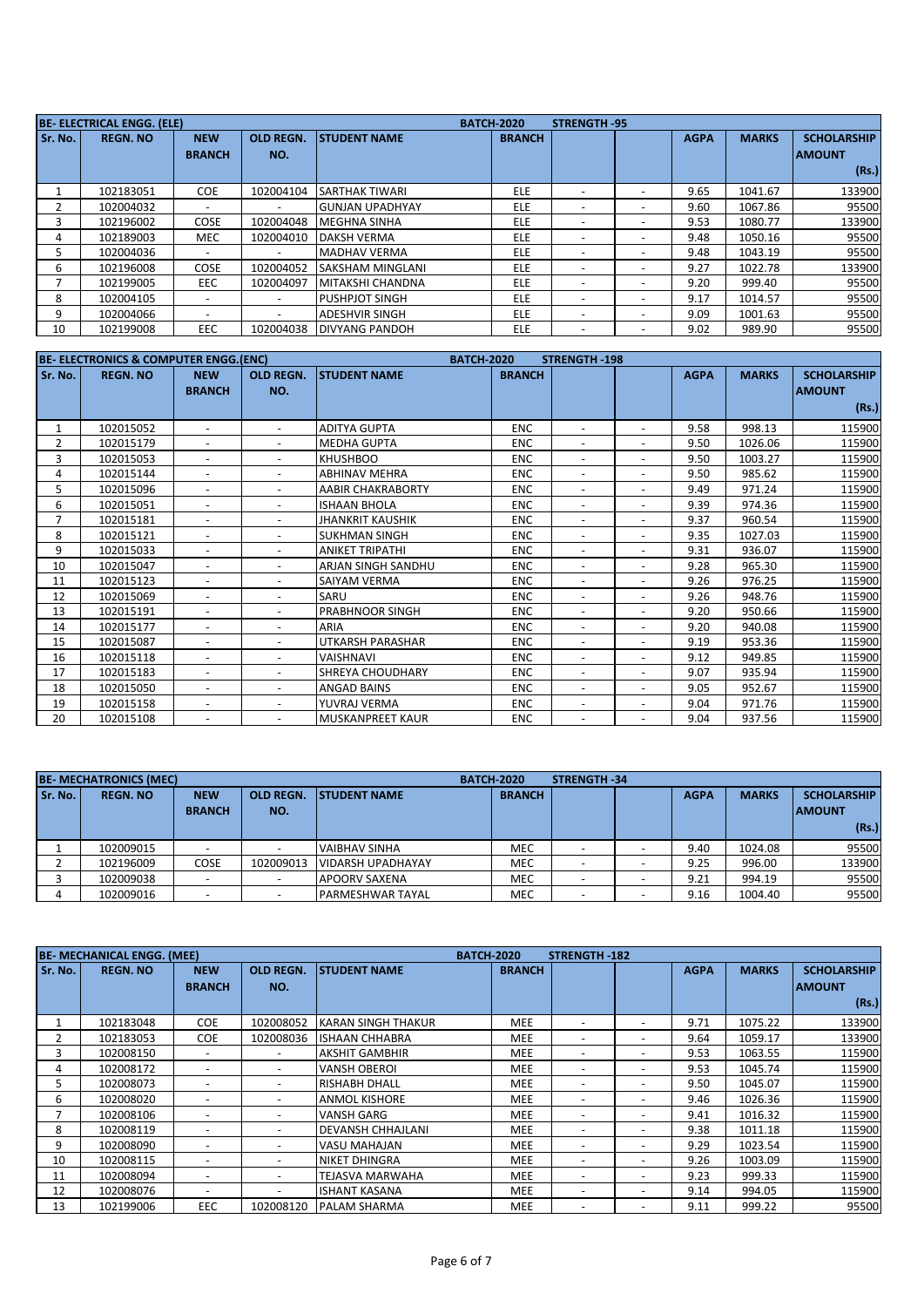|         | <b>BE-ELECTRICAL ENGG. (ELE)</b> |                          |                          |                          | <b>BATCH-2020</b> | STRENGTH -95             |                          |             |              |                    |
|---------|----------------------------------|--------------------------|--------------------------|--------------------------|-------------------|--------------------------|--------------------------|-------------|--------------|--------------------|
| Sr. No. | <b>REGN. NO</b>                  | <b>NEW</b>               | <b>OLD REGN.</b>         | <b>ISTUDENT NAME</b>     | <b>BRANCH</b>     |                          |                          | <b>AGPA</b> | <b>MARKS</b> | <b>SCHOLARSHIP</b> |
|         |                                  | <b>BRANCH</b>            | NO.                      |                          |                   |                          |                          |             |              | <b>AMOUNT</b>      |
|         |                                  |                          |                          |                          |                   |                          |                          |             |              | (Rs.)              |
|         | 102183051                        | <b>COE</b>               | 102004104                | <b>ISARTHAK TIWARI</b>   | <b>ELE</b>        | $\overline{\phantom{a}}$ | $\overline{\phantom{a}}$ | 9.65        | 1041.67      | 133900             |
| 2       | 102004032                        |                          |                          | <b>GUNJAN UPADHYAY</b>   | <b>ELE</b>        | $\overline{\phantom{a}}$ | $\overline{\phantom{a}}$ | 9.60        | 1067.86      | 95500              |
| 3       | 102196002                        | <b>COSE</b>              | 102004048                | IMEGHNA SINHA            | <b>ELE</b>        | $\overline{\phantom{a}}$ | $\overline{\phantom{a}}$ | 9.53        | 1080.77      | 133900             |
| 4       | 102189003                        | <b>MEC</b>               | 102004010                | <b>IDAKSH VERMA</b>      | <b>ELE</b>        | $\overline{\phantom{0}}$ | $\overline{\phantom{a}}$ | 9.48        | 1050.16      | 95500              |
|         | 102004036                        | $\overline{\phantom{a}}$ | $\overline{\phantom{a}}$ | <b>MADHAV VERMA</b>      | <b>ELE</b>        | $\overline{\phantom{a}}$ | $\overline{\phantom{a}}$ | 9.48        | 1043.19      | 95500              |
| 6       | 102196008                        | <b>COSE</b>              | 102004052                | <b>SAKSHAM MINGLANI</b>  | ELE               | $\overline{\phantom{a}}$ | $\overline{\phantom{a}}$ | 9.27        | 1022.78      | 133900             |
|         | 102199005                        | <b>EEC</b>               | 102004097                | <b>IMITAKSHI CHANDNA</b> | <b>ELE</b>        | $\overline{\phantom{0}}$ | $\overline{\phantom{a}}$ | 9.20        | 999.40       | 95500              |
| 8       | 102004105                        | $\sim$                   | $\overline{\phantom{0}}$ | <b>PUSHPJOT SINGH</b>    | <b>ELE</b>        | $\overline{\phantom{a}}$ | $\overline{\phantom{a}}$ | 9.17        | 1014.57      | 95500              |
| 9       | 102004066                        |                          | -                        | <b>ADESHVIR SINGH</b>    | <b>ELE</b>        | $\overline{\phantom{a}}$ | $\overline{\phantom{a}}$ | 9.09        | 1001.63      | 95500              |
| 10      | 102199008                        | EEC                      | 102004038                | <b>DIVYANG PANDOH</b>    | ELE               |                          | $\overline{\phantom{0}}$ | 9.02        | 989.90       | 95500              |

|         | <b>BE-ELECTRONICS &amp; COMPUTER ENGG. (ENC)</b> |                          |                          | <b>BATCH-2020</b>        |               | <b>STRENGTH-198</b>      |                          |             |              |                    |
|---------|--------------------------------------------------|--------------------------|--------------------------|--------------------------|---------------|--------------------------|--------------------------|-------------|--------------|--------------------|
| Sr. No. | <b>REGN. NO</b>                                  | <b>NEW</b>               | <b>OLD REGN.</b>         | <b>STUDENT NAME</b>      | <b>BRANCH</b> |                          |                          | <b>AGPA</b> | <b>MARKS</b> | <b>SCHOLARSHIP</b> |
|         |                                                  | <b>BRANCH</b>            | NO.                      |                          |               |                          |                          |             |              | <b>AMOUNT</b>      |
|         |                                                  |                          |                          |                          |               |                          |                          |             |              | (Rs.)              |
| 1       | 102015052                                        | $\overline{\phantom{a}}$ | $\overline{\phantom{a}}$ | <b>ADITYA GUPTA</b>      | <b>ENC</b>    | $\overline{\phantom{a}}$ | $\overline{\phantom{0}}$ | 9.58        | 998.13       | 115900             |
| 2       | 102015179                                        | $\overline{\phantom{a}}$ | $\overline{\phantom{a}}$ | <b>MEDHA GUPTA</b>       | <b>ENC</b>    | $\overline{\phantom{a}}$ | $\overline{\phantom{0}}$ | 9.50        | 1026.06      | 115900             |
| 3       | 102015053                                        | $\overline{\phantom{a}}$ | $\overline{\phantom{a}}$ | <b>KHUSHBOO</b>          | <b>ENC</b>    | $\overline{\phantom{a}}$ | $\overline{\phantom{0}}$ | 9.50        | 1003.27      | 115900             |
| 4       | 102015144                                        | $\overline{\phantom{a}}$ |                          | <b>ABHINAV MEHRA</b>     | <b>ENC</b>    | $\overline{\phantom{a}}$ | ۰                        | 9.50        | 985.62       | 115900             |
| 5       | 102015096                                        | $\overline{\phantom{a}}$ | $\overline{\phantom{a}}$ | <b>AABIR CHAKRABORTY</b> | <b>ENC</b>    | $\overline{\phantom{a}}$ | ٠                        | 9.49        | 971.24       | 115900             |
| 6       | 102015051                                        | $\overline{\phantom{a}}$ | $\overline{\phantom{a}}$ | <b>ISHAAN BHOLA</b>      | <b>ENC</b>    | $\overline{\phantom{a}}$ | ٠                        | 9.39        | 974.36       | 115900             |
| 7       | 102015181                                        |                          |                          | <b>JHANKRIT KAUSHIK</b>  | <b>ENC</b>    | $\overline{\phantom{a}}$ | ٠                        | 9.37        | 960.54       | 115900             |
| 8       | 102015121                                        | $\overline{\phantom{a}}$ | $\overline{\phantom{a}}$ | <b>SUKHMAN SINGH</b>     | <b>ENC</b>    | $\overline{\phantom{a}}$ | ٠                        | 9.35        | 1027.03      | 115900             |
| 9       | 102015033                                        | $\overline{\phantom{a}}$ | $\overline{\phantom{a}}$ | <b>ANIKET TRIPATHI</b>   | <b>ENC</b>    | $\overline{\phantom{a}}$ | ٠                        | 9.31        | 936.07       | 115900             |
| 10      | 102015047                                        | $\overline{\phantom{a}}$ | $\overline{\phantom{a}}$ | ARJAN SINGH SANDHU       | <b>ENC</b>    | $\overline{\phantom{a}}$ | ٠                        | 9.28        | 965.30       | 115900             |
| 11      | 102015123                                        | $\overline{\phantom{a}}$ | $\overline{\phantom{a}}$ | SAIYAM VERMA             | <b>ENC</b>    | $\overline{\phantom{a}}$ | ٠                        | 9.26        | 976.25       | 115900             |
| 12      | 102015069                                        |                          |                          | SARU                     | <b>ENC</b>    | $\overline{\phantom{a}}$ | ٠                        | 9.26        | 948.76       | 115900             |
| 13      | 102015191                                        | $\overline{\phantom{a}}$ | $\overline{\phantom{a}}$ | PRABHNOOR SINGH          | <b>ENC</b>    | $\overline{\phantom{a}}$ | ٠                        | 9.20        | 950.66       | 115900             |
| 14      | 102015177                                        |                          | $\overline{\phantom{a}}$ | ARIA                     | <b>ENC</b>    | $\overline{\phantom{a}}$ | $\overline{\phantom{0}}$ | 9.20        | 940.08       | 115900             |
| 15      | 102015087                                        |                          | $\overline{\phantom{a}}$ | UTKARSH PARASHAR         | <b>ENC</b>    | $\overline{\phantom{a}}$ | ٠                        | 9.19        | 953.36       | 115900             |
| 16      | 102015118                                        |                          | $\overline{\phantom{a}}$ | <b>VAISHNAVI</b>         | <b>ENC</b>    | $\overline{\phantom{a}}$ | ٠                        | 9.12        | 949.85       | 115900             |
| 17      | 102015183                                        |                          | $\overline{\phantom{a}}$ | SHREYA CHOUDHARY         | <b>ENC</b>    | $\overline{\phantom{a}}$ | ٠                        | 9.07        | 935.94       | 115900             |
| 18      | 102015050                                        |                          |                          | <b>ANGAD BAINS</b>       | <b>ENC</b>    |                          | ٠                        | 9.05        | 952.67       | 115900             |
| 19      | 102015158                                        |                          |                          | YUVRAJ VERMA             | <b>ENC</b>    | $\overline{\phantom{a}}$ |                          | 9.04        | 971.76       | 115900             |
| 20      | 102015108                                        |                          |                          | <b>MUSKANPREET KAUR</b>  | <b>ENC</b>    |                          |                          | 9.04        | 937.56       | 115900             |

|         | <b>BE-MECHATRONICS (MEC)</b> |                             |                          |                         | <b>BATCH-2020</b> | <b>STRENGTH-34</b>       |             |              |                                              |
|---------|------------------------------|-----------------------------|--------------------------|-------------------------|-------------------|--------------------------|-------------|--------------|----------------------------------------------|
| Sr. No. | <b>REGN. NO</b>              | <b>NEW</b><br><b>BRANCH</b> | <b>OLD REGN.</b><br>NO.  | <b>ISTUDENT NAME</b>    | <b>BRANCH</b>     |                          | <b>AGPA</b> | <b>MARKS</b> | <b>SCHOLARSHIP</b><br><b>AMOUNT</b><br>(Rs.) |
|         | 102009015                    |                             |                          | <b>VAIBHAV SINHA</b>    | <b>MEC</b>        |                          | 9.40        | 1024.08      | 95500                                        |
|         | 102196009                    | <b>COSE</b>                 | 102009013                | VIDARSH UPADHAYAY       | <b>MEC</b>        |                          | 9.25        | 996.00       | 133900                                       |
|         | 102009038                    |                             | $\overline{\phantom{0}}$ | <b>APOORV SAXENA</b>    | <b>MEC</b>        |                          | 9.21        | 994.19       | 95500                                        |
|         | 102009016                    |                             |                          | <b>PARMESHWAR TAYAL</b> | <b>MEC</b>        | $\overline{\phantom{0}}$ | 9.16        | 1004.40      | 95500                                        |

|                | <b>BE-MECHANICAL ENGG. (MEE)</b> |                          |                          |                           | <b>BATCH 2020</b> | <b>STRENGTH-182</b>      |                          |             |              |                    |
|----------------|----------------------------------|--------------------------|--------------------------|---------------------------|-------------------|--------------------------|--------------------------|-------------|--------------|--------------------|
| Sr. No.        | <b>REGN. NO</b>                  | <b>NEW</b>               | <b>OLD REGN.</b>         | <b>STUDENT NAME</b>       | <b>BRANCH</b>     |                          |                          | <b>AGPA</b> | <b>MARKS</b> | <b>SCHOLARSHIP</b> |
|                |                                  | <b>BRANCH</b>            | NO.                      |                           |                   |                          |                          |             |              | <b>AMOUNT</b>      |
|                |                                  |                          |                          |                           |                   |                          |                          |             |              | (Rs.)              |
|                | 102183048                        | <b>COE</b>               | 102008052                | <b>KARAN SINGH THAKUR</b> | <b>MEE</b>        | $\overline{\phantom{a}}$ | $\overline{\phantom{0}}$ | 9.71        | 1075.22      | 133900             |
| $\overline{2}$ | 102183053                        | <b>COE</b>               | 102008036                | <b>ISHAAN CHHABRA</b>     | <b>MEE</b>        | $\overline{\phantom{a}}$ | $\overline{\phantom{a}}$ | 9.64        | 1059.17      | 133900             |
| 3              | 102008150                        | $\overline{\phantom{a}}$ | $\overline{\phantom{a}}$ | <b>AKSHIT GAMBHIR</b>     | <b>MEE</b>        | $\overline{\phantom{a}}$ | $\overline{\phantom{a}}$ | 9.53        | 1063.55      | 115900             |
| 4              | 102008172                        | ٠                        | $\overline{\phantom{a}}$ | <b>VANSH OBEROI</b>       | <b>MEE</b>        | $\overline{\phantom{a}}$ | $\overline{\phantom{a}}$ | 9.53        | 1045.74      | 115900             |
| 5              | 102008073                        | $\overline{\phantom{0}}$ | $\overline{\phantom{a}}$ | <b>RISHABH DHALL</b>      | <b>MEE</b>        | $\overline{\phantom{a}}$ | -                        | 9.50        | 1045.07      | 115900             |
| 6              | 102008020                        | $\overline{\phantom{a}}$ | $\overline{\phantom{a}}$ | <b>ANMOL KISHORE</b>      | <b>MEE</b>        | $\overline{\phantom{a}}$ | $\overline{\phantom{a}}$ | 9.46        | 1026.36      | 115900             |
| 7              | 102008106                        | $\overline{\phantom{0}}$ | $\overline{\phantom{a}}$ | <b>VANSH GARG</b>         | <b>MEE</b>        | $\overline{\phantom{a}}$ | $\overline{\phantom{0}}$ | 9.41        | 1016.32      | 115900             |
| 8              | 102008119                        |                          | $\overline{\phantom{a}}$ | <b>DEVANSH CHHAJLANI</b>  | <b>MEE</b>        | $\overline{\phantom{a}}$ | $\overline{\phantom{0}}$ | 9.38        | 1011.18      | 115900             |
| 9              | 102008090                        | ٠                        | $\overline{\phantom{a}}$ | VASU MAHAJAN              | <b>MEE</b>        | $\overline{\phantom{a}}$ | $\overline{\phantom{a}}$ | 9.29        | 1023.54      | 115900             |
| 10             | 102008115                        | $\overline{\phantom{0}}$ | $\overline{\phantom{a}}$ | <b>NIKET DHINGRA</b>      | <b>MEE</b>        | $\overline{\phantom{a}}$ | $\overline{\phantom{a}}$ | 9.26        | 1003.09      | 115900             |
| 11             | 102008094                        | $\overline{\phantom{0}}$ | $\overline{\phantom{a}}$ | <b>TEJASVA MARWAHA</b>    | <b>MEE</b>        | $\overline{\phantom{a}}$ | $\overline{\phantom{a}}$ | 9.23        | 999.33       | 115900             |
| 12             | 102008076                        | $\overline{\phantom{a}}$ |                          | <b>ISHANT KASANA</b>      | <b>MEE</b>        | $\overline{\phantom{a}}$ | $\overline{\phantom{a}}$ | 9.14        | 994.05       | 115900             |
| 13             | 102199006                        | EEC                      | 102008120                | <b>PALAM SHARMA</b>       | <b>MEE</b>        | $\overline{\phantom{a}}$ | $\overline{\phantom{a}}$ | 9.11        | 999.22       | 95500              |